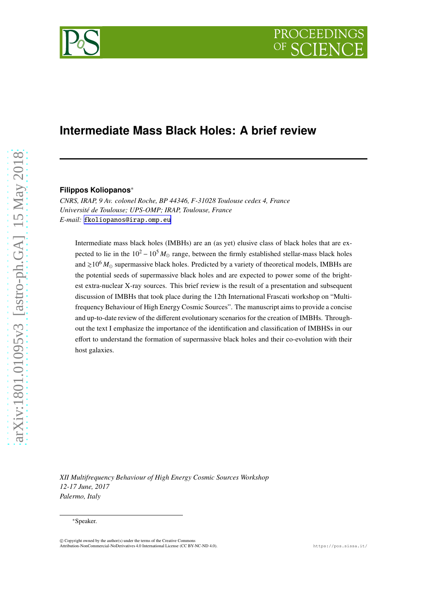# **Intermediate Mass Black Holes: A brief review**

#### **Filippos Koliopanos**\*

*CNRS, IRAP, 9 Av. colonel Roche, BP 44346, F-31028 Toulouse cedex 4, France Université de Toulouse; UPS-OMP; IRAP, Toulouse, France E-mail:* [fkoliopanos@irap.omp.eu](mailto:fkoliopanos@irap.omp.eu)

Intermediate mass black holes (IMBHs) are an (as yet) elusive class of black holes that are expected to lie in the  $10^2 - 10^5 M_{\odot}$  range, between the firmly established stellar-mass black holes and  $\geq 10^6 M_{\odot}$  supermassive black holes. Predicted by a variety of theoretical models, IMBHs are the potential seeds of supermassive black holes and are expected to power some of the brightest extra-nuclear X-ray sources. This brief review is the result of a presentation and subsequent discussion of IMBHs that took place during the 12th International Frascati workshop on "Multifrequency Behaviour of High Energy Cosmic Sources". The manuscript aims to provide a concise and up-to-date review of the different evolutionary scenarios for the creation of IMBHs. Throughout the text I emphasize the importance of the identification and classification of IMBHSs in our effort to understand the formation of supermassive black holes and their co-evolution with their host galaxies.

*XII Multifrequency Behaviour of High Energy Cosmic Sources Workshop 12-17 June, 2017 Palermo, Italy*

**PROCEEDING** 



<sup>\*</sup>Speaker.

<sup>©</sup> Copyright owned by the author(s) under the terms of the Creative Commons Attribution-NonCommercial-NoDerivatives 4.0 International License (CC BY-NC-ND 4.0). https://pos.sissa.it/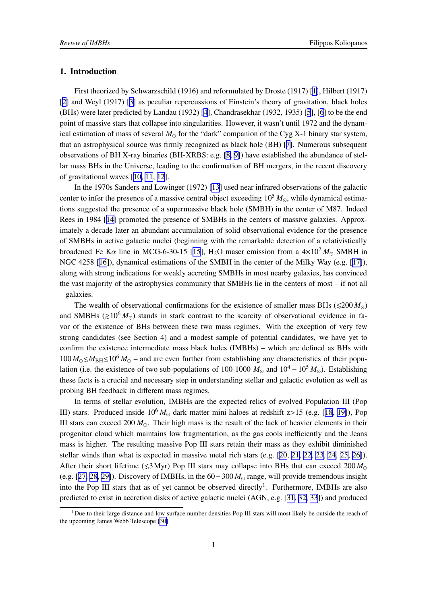## 1. Introduction

First theorized by Schwarzschild (1916) and reformulated by Droste (1917) [\[1\]](#page-14-0), Hilbert (1917) [[2](#page-14-0)] and Weyl (1917) [\[3\]](#page-14-0) as peculiar repercussions of Einstein's theory of gravitation, black holes (BHs) were later predicted by Landau (1932) [[4](#page-14-0)], Chandrasekhar (1932, 1935) [[5](#page-14-0)], [[6](#page-14-0)] to be the end point of massive stars that collapse into singularities. However, it wasn't until 1972 and the dynamical estimation of mass of several *M*⊙ for the "dark" companion of the Cyg X-1 binary star system, that an astrophysical source was firmly recognized as black hole (BH) [[7](#page-14-0)]. Numerous subsequent observations of BH X-ray binaries (BH-XRBS: e.g. [\[8, 9\]](#page-14-0)) have established the abundance of stellar mass BHs in the Universe, leading to the confirmation of BH mergers, in the recent discovery of gravitational waves [[10, 11](#page-14-0), [12](#page-14-0)].

In the 1970s Sanders and Lowinger (1972) [\[13\]](#page-14-0) used near infrared observations of the galactic center to infer the presence of a massive central object exceeding  $10^5 M_{\odot}$ , while dynamical estimations suggested the presence of a supermassive black hole (SMBH) in the center of M87. Indeed Rees in 1984 [\[14](#page-14-0)] promoted the presence of SMBHs in the centers of massive galaxies. Approximately a decade later an abundant accumulation of solid observational evidence for the presence of SMBHs in active galactic nuclei (beginning with the remarkable detection of a relativistically broadened Fe Ka line in MCG-6-30-[15](#page-14-0) [15], H<sub>2</sub>O maser emission from a  $4\times10^7 M_{\odot}$  SMBH in NGC 4258 [\[16\]](#page-15-0)), dynamical estimations of the SMBH in the center of the Milky Way (e.g. [\[17\]](#page-15-0)), along with strong indications for weakly accreting SMBHs in most nearby galaxies, has convinced the vast majority of the astrophysics community that SMBHs lie in the centers of most – if not all – galaxies.

The wealth of observational confirmations for the existence of smaller mass BHs ( $\leq 200 M_{\odot}$ ) and SMBHs ( $\gtrsim 10^6 M_{\odot}$ ) stands in stark contrast to the scarcity of observational evidence in favor of the existence of BHs between these two mass regimes. With the exception of very few strong candidates (see Section 4) and a modest sample of potential candidates, we have yet to confirm the existence intermediate mass black holes (IMBHs) – which are defined as BHs with  $100 M_{\odot} \le M_{\rm BH} \le 10^6 M_{\odot}$  – and are even further from establishing any characteristics of their population (i.e. the existence of two sub-populations of 100-1000  $M_{\odot}$  and  $10^4 - 10^5 M_{\odot}$ ). Establishing these facts is a crucial and necessary step in understanding stellar and galactic evolution as well as probing BH feedback in different mass regimes.

In terms of stellar evolution, IMBHs are the expected relics of evolved Population III (Pop III) stars. Produced inside  $10^6 M_{\odot}$  dark matter mini-haloes at redshift z>15 (e.g. [[18](#page-15-0), [19\]](#page-15-0)), Pop III stars can exceed 200  $M_{\odot}$ . Their high mass is the result of the lack of heavier elements in their progenitor cloud which maintains low fragmentation, as the gas cools inefficiently and the Jeans mass is higher. The resulting massive Pop III stars retain their mass as they exhibit diminished stellar winds than what is expected in massive metal rich stars (e.g. [\[20](#page-15-0), [21](#page-15-0), [22](#page-15-0), [23](#page-15-0), [24](#page-15-0), [25](#page-15-0), [26\]](#page-15-0)). After their short lifetime ( $\leq 3$ Myr) Pop III stars may collapse into BHs that can exceed 200  $M_{\odot}$ (e.g. [[27, 28, 29\]](#page-15-0)). Discovery of IMBHs, in the 60−300 *M*<sup>⊙</sup> range, will provide tremendous insight into the Pop III stars that as of yet cannot be observed directly<sup>1</sup>. Furthermore, IMBHs are also predicted to exist in accretion disks of active galactic nuclei (AGN, e.g. [[31](#page-15-0), [32, 33](#page-16-0)]) and produced

<sup>&</sup>lt;sup>1</sup>Due to their large distance and low surface number densities Pop III stars will most likely be outside the reach of the upcoming James Webb Telescope [[30\]](#page-15-0)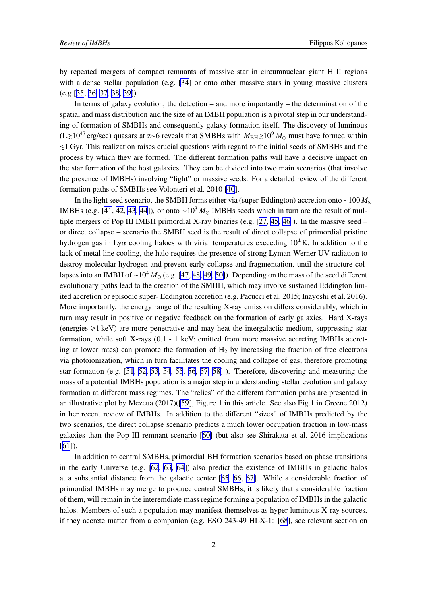by repeated mergers of compact remnants of massive star in circumnuclear giant H II regions with a dense stellar population (e.g. [\[34](#page-16-0)] or onto other massive stars in young massive clusters (e.g.[\[35](#page-16-0), [36, 37](#page-16-0), [38](#page-16-0), [39\]](#page-16-0)).

In terms of galaxy evolution, the detection – and more importantly – the determination of the spatial and mass distribution and the size of an IMBH population is a pivotal step in our understanding of formation of SMBHs and consequently galaxy formation itself. The discovery of luminous (L&10<sup>47</sup> erg/sec) quasars at z∼6 reveals that SMBHs with *M*BH&10<sup>9</sup> *M*<sup>⊙</sup> must have formed within  $\leq 1$  Gyr. This realization raises crucial questions with regard to the initial seeds of SMBHs and the process by which they are formed. The different formation paths will have a decisive impact on the star formation of the host galaxies. They can be divided into two main scenarios (that involve the presence of IMBHs) involving "light" or massive seeds. For a detailed review of the different formation paths of SMBHs see Volonteri et al. 2010 [\[40](#page-16-0)].

In the light seed scenario, the SMBH forms either via (super-Eddington) accretion onto ∼100 *M*<sup>⊙</sup> IMBHs (e.g. [\[41, 42, 43](#page-16-0), [44\]](#page-16-0)), or onto ~10<sup>3</sup>  $M_{\odot}$  IMBHs seeds which in turn are the result of multiple mergers of Pop III IMBH primordial X-ray binaries (e.g. [[27,](#page-15-0) [45](#page-16-0), [46\]](#page-16-0)). In the massive seed – or direct collapse – scenario the SMBH seed is the result of direct collapse of primordial pristine hydrogen gas in Lya cooling haloes with virial temperatures exceeding  $10^4$  K. In addition to the lack of metal line cooling, the halo requires the presence of strong Lyman-Werner UV radiation to destroy molecular hydrogen and prevent early collapse and fragmentation, until the structure collapses into an IMBH of ∼10<sup>4</sup> *M*<sup>⊙</sup> (e.g. [\[47](#page-16-0), [48, 49, 50\]](#page-17-0)). Depending on the mass of the seed different evolutionary paths lead to the creation of the SMBH, which may involve sustained Eddington limited accretion or episodic super- Eddington accretion (e.g. Pacucci et al. 2015; Inayoshi et al. 2016). More importantly, the energy range of the resulting X-ray emission differs considerably, which in turn may result in positive or negative feedback on the formation of early galaxies. Hard X-rays (energies  $\geq 1$  keV) are more penetrative and may heat the intergalactic medium, suppressing star formation, while soft X-rays (0.1 - 1 keV: emitted from more massive accreting IMBHs accreting at lower rates) can promote the formation of  $H<sub>2</sub>$  by increasing the fraction of free electrons via photoionization, which in turn facilitates the cooling and collapse of gas, therefore promoting star-formation (e.g. [[51](#page-17-0), [52, 53](#page-17-0), [54](#page-17-0), [55](#page-17-0), [56, 57, 58](#page-17-0)] ). Therefore, discovering and measuring the mass of a potential IMBHs population is a major step in understanding stellar evolution and galaxy formation at different mass regimes. The "relics" of the different formation paths are presented in an illustrative plot by Mezcua (2017)([\[59](#page-17-0)], Figure 1 in this article. See also Fig.1 in Greene 2012) in her recent review of IMBHs. In addition to the different "sizes" of IMBHs predicted by the two scenarios, the direct collapse scenario predicts a much lower occupation fraction in low-mass galaxies than the Pop III remnant scenario [\[60\]](#page-17-0) (but also see Shirakata et al. 2016 implications [[61\]](#page-17-0)).

In addition to central SMBHs, primordial BH formation scenarios based on phase transitions in the early Universe (e.g. [\[62](#page-17-0), [63](#page-17-0), [64](#page-18-0)]) also predict the existence of IMBHs in galactic halos at a substantial distance from the galactic center [[65, 66](#page-18-0), [67\]](#page-18-0). While a considerable fraction of primordial IMBHs may merge to produce central SMBHs, it is likely that a considerable fraction of them, will remain in the interemdiate mass regime forming a population of IMBHs in the galactic halos. Members of such a population may manifest themselves as hyper-luminous X-ray sources, if they accrete matter from a companion (e.g. ESO 243-49 HLX-1: [\[68](#page-18-0)], see relevant section on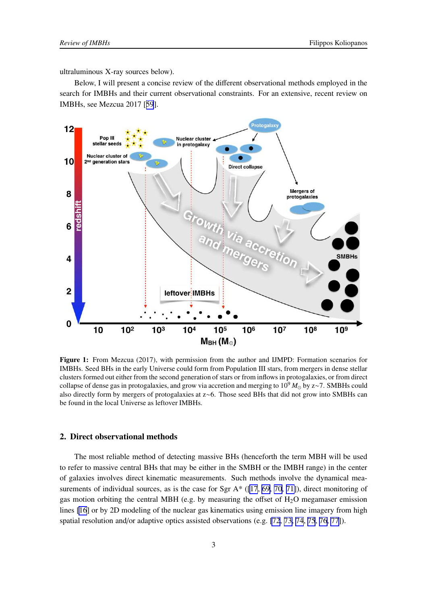ultraluminous X-ray sources below).

Below, I will present a concise review of the different observational methods employed in the search for IMBHs and their current observational constraints. For an extensive, recent review on IMBHs, see Mezcua 2017 [[59](#page-17-0)].



Figure 1: From Mezcua (2017), with permission from the author and IJMPD: Formation scenarios for IMBHs. Seed BHs in the early Universe could form from Population III stars, from mergers in dense stellar clusters formed out either from the second generation of stars or from inflows in protogalaxies, or from direct collapse of dense gas in protogalaxies, and grow via accretion and merging to 10<sup>9</sup> *M*<sup>⊙</sup> by z∼7. SMBHs could also directly form by mergers of protogalaxies at z∼6. Those seed BHs that did not grow into SMBHs can be found in the local Universe as leftover IMBHs.

# 2. Direct observational methods

The most reliable method of detecting massive BHs (henceforth the term MBH will be used to refer to massive central BHs that may be either in the SMBH or the IMBH range) in the center of galaxies involves direct kinematic measurements. Such methods involve the dynamical measurements of individual sources, as is the case for Sgr  $A^*$  ([\[17](#page-15-0), [69](#page-18-0), [70](#page-18-0), [71\]](#page-18-0)), direct monitoring of gas motion orbiting the central MBH (e.g. by measuring the offset of  $H_2O$  megamaser emission lines [\[16](#page-15-0)] or by 2D modeling of the nuclear gas kinematics using emission line imagery from high spatial resolution and/or adaptive optics assisted observations (e.g. [\[72](#page-18-0), [73, 74](#page-18-0), [75](#page-18-0), [76, 77](#page-18-0)]).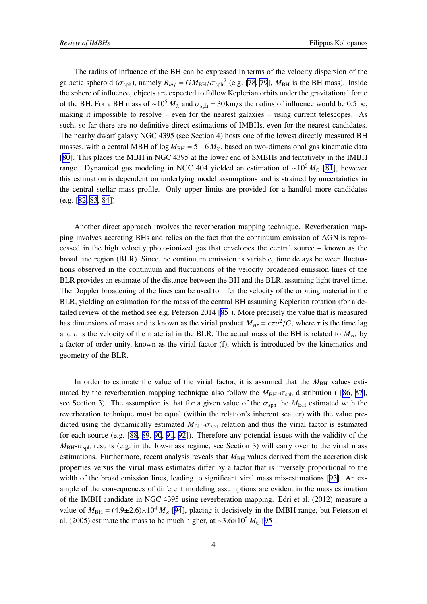The radius of influence of the BH can be expressed in terms of the velocity dispersion of the galactic spheroid ( $\sigma_{\text{sph}}$ ), namely  $R_{inf} = GM_{BH}/\sigma_{\text{sph}}^2$  (e.g. [\[78](#page-18-0), [79](#page-18-0)],  $M_{BH}$  is the BH mass). Inside the sphere of influence, objects are expected to follow Keplerian orbits under the gravitational force of the BH. For a BH mass of ~10<sup>5</sup>  $M_{\odot}$  and  $\sigma_{\rm sph}$  = 30 km/s the radius of influence would be 0.5 pc, making it impossible to resolve – even for the nearest galaxies – using current telescopes. As such, so far there are no definitive direct estimations of IMBHs, even for the nearest candidates. The nearby dwarf galaxy NGC 4395 (see Section 4) hosts one of the lowest directly measured BH masses, with a central MBH of  $log M_{BH} = 5 - 6 M_{\odot}$ , based on two-dimensional gas kinematic data [[80\]](#page-19-0). This places the MBH in NGC 4395 at the lower end of SMBHs and tentatively in the IMBH range. Dynamical gas modeling in NGC 404 yielded an estimation of ∼10<sup>5</sup> *M*<sup>⊙</sup> [\[81](#page-19-0)], however this estimation is dependent on underlying model assumptions and is strained by uncertainties in the central stellar mass profile. Only upper limits are provided for a handful more candidates (e.g. [\[82, 83](#page-19-0), [84\]](#page-19-0))

Another direct approach involves the reverberation mapping technique. Reverberation mapping involves accreting BHs and relies on the fact that the continuum emission of AGN is reprocessed in the high velocity photo-ionized gas that envelopes the central source – known as the broad line region (BLR). Since the continuum emission is variable, time delays between fluctuations observed in the continuum and fluctuations of the velocity broadened emission lines of the BLR provides an estimate of the distance between the BH and the BLR, assuming light travel time. The Doppler broadening of the lines can be used to infer the velocity of the orbiting material in the BLR, yielding an estimation for the mass of the central BH assuming Keplerian rotation (for a detailed review of the method see e.g. Peterson 2014 [\[85](#page-19-0)]). More precisely the value that is measured has dimensions of mass and is known as the virial product  $M_{vir} = c\tau v^2/G$ , where  $\tau$  is the time lag and  $\nu$  is the velocity of the material in the BLR. The actual mass of the BH is related to  $M_{vir}$  by a factor of order unity, known as the virial factor (f), which is introduced by the kinematics and geometry of the BLR.

In order to estimate the value of the virial factor, it is assumed that the  $M_{\text{BH}}$  values estimated by the reverberation mapping technique also follow the  $M_{\text{BH}}-\sigma_{\text{sph}}$  distribution ( [\[86](#page-19-0), [87](#page-19-0)], see Section 3). The assumption is that for a given value of the  $\sigma_{\text{sph}}$  the  $M_{\text{BH}}$  estimated with the reverberation technique must be equal (within the relation's inherent scatter) with the value predicted using the dynamically estimated  $M_{BH}$ - $\sigma_{sph}$  relation and thus the virial factor is estimated for each source (e.g. [[88, 89](#page-19-0), [90](#page-19-0), [91](#page-19-0), [92](#page-19-0)]). Therefore any potential issues with the validity of the  $M_{\text{BH}}-\sigma_{\text{sph}}$  results (e.g. in the low-mass regime, see Section 3) will carry over to the virial mass estimations. Furthermore, recent analysis reveals that  $M_{BH}$  values derived from the accretion disk properties versus the virial mass estimates differ by a factor that is inversely proportional to the width of the broad emission lines, leading to significant viral mass mis-estimations [[93\]](#page-19-0). An example of the consequences of different modeling assumptions are evident in the mass estimation of the IMBH candidate in NGC 4395 using reverberation mapping. Edri et al. (2012) measure a value of  $M_{\text{BH}} = (4.9 \pm 2.6) \times 10^4 M_{\odot}$  [\[94](#page-19-0)], placing it decisively in the IMBH range, but Peterson et al. (2005) estimate the mass to be much higher, at ∼3.6×10<sup>5</sup> *M*<sup>⊙</sup> [[95](#page-20-0)].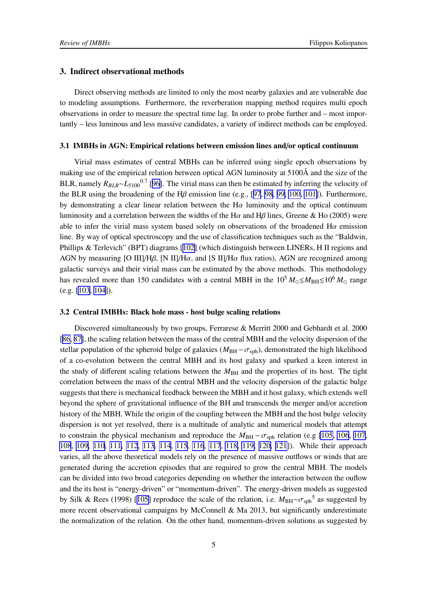#### 3. Indirect observational methods

Direct observing methods are limited to only the most nearby galaxies and are vulnerable due to modeling assumptions. Furthermore, the reverberation mapping method requires multi epoch observations in order to measure the spectral time lag. In order to probe further and – most importantly – less luminous and less massive candidates, a variety of indirect methods can be employed.

### 3.1 IMBHs in AGN: Empirical relations between emission lines and/or optical continuum

Virial mass estimates of central MBHs can be inferred using single epoch observations by making use of the empirical relation between optical AGN luminosity at 5100Å and the size of the BLR, namely  $R_{BLR} \sim L_{5100}$ <sup>0.7</sup> [[96\]](#page-20-0). The virial mass can then be estimated by inferring the velocity of the BLR using the broadening of the H $\beta$  emission line (e.g., [[97](#page-20-0), [98](#page-20-0), [99, 100, 101\]](#page-20-0)). Furthermore, by demonstrating a clear linear relation between the H $\alpha$  luminosity and the optical continuum luminosity and a correlation between the widths of the H $\alpha$  and H $\beta$  lines, Greene & Ho (2005) were able to infer the virial mass system based solely on observations of the broadened  $H\alpha$  emission line. By way of optical spectroscopy and the use of classification techniques such as the "Baldwin, Phillips & Terlevich" (BPT) diagrams [[102](#page-20-0)] (which distinguish between LINERs, H II regions and AGN by measuring [O III]/H $\beta$ , [N II]/H $\alpha$ , and [S II]/H $\alpha$  flux ratios), AGN are recognized among galactic surveys and their virial mass can be estimated by the above methods. This methodology has revealed more than 150 candidates with a central MBH in the  $10^5 M_{\odot} \leq M_{\rm BH} \leq 10^6 M_{\odot}$  range (e.g. [\[103](#page-20-0), [104](#page-20-0)]).

#### 3.2 Central IMBHs: Black hole mass - host bulge scaling relations

Discovered simultaneously by two groups, Ferrarese & Merritt 2000 and Gebhardt et al. 2000 [[86, 87\]](#page-19-0), the scaling relation between the mass of the central MBH and the velocity dispersion of the stellar population of the spheroid bulge of galaxies ( $M_{\text{BH}} - \sigma_{\text{sph}}$ ), demonstrated the high likelihood of a co-evolution between the central MBH and its host galaxy and sparked a keen interest in the study of different scaling relations between the *M*BH and the properties of its host. The tight correlation between the mass of the central MBH and the velocity dispersion of the galactic bulge suggests that there is mechanical feedback between the MBH and it host galaxy, which extends well beyond the sphere of gravitational influence of the BH and transcends the merger and/or accretion history of the MBH. While the origin of the coupling between the MBH and the host bulge velocity dispersion is not yet resolved, there is a multitude of analytic and numerical models that attempt to constrain the physical mechanism and reproduce the  $M_{\text{BH}} - \sigma_{\text{soh}}$  relation (e.g [\[105, 106](#page-20-0), [107](#page-20-0), [108](#page-20-0), [109, 110, 111,](#page-20-0) [112](#page-21-0), [113](#page-21-0), [114](#page-21-0), [115](#page-21-0), [116](#page-21-0), [117](#page-21-0), [118, 119, 120, 121](#page-21-0)]). While their approach varies, all the above theoretical models rely on the presence of massive outflows or winds that are generated during the accretion episodes that are required to grow the central MBH. The models can be divided into two broad categories depending on whether the interaction between the ouflow and the its host is "energy-driven" or "momentum-driven". The energy-driven models as suggested by Silk & Rees (1998) [[105](#page-20-0)] reproduce the scale of the relation, i.e.  $M_{BH} \sim \sigma_{\text{sph}}^5$  as suggested by more recent observational campaigns by McConnell  $\&$  Ma 2013, but significantly underestimate the normalization of the relation. On the other hand, momentum-driven solutions as suggested by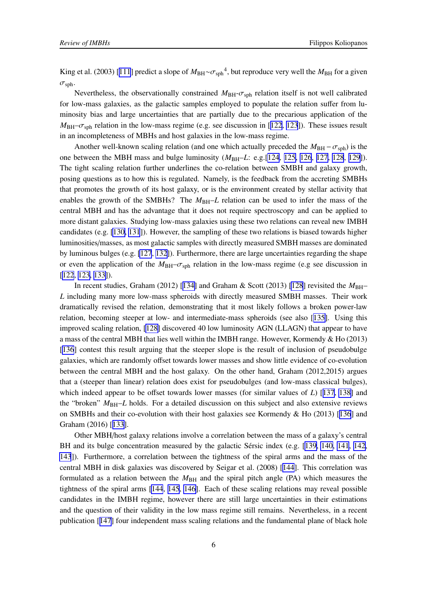King et al. (2003) [[111](#page-20-0)] predict a slope of  $M_{BH} \sim \sigma_{\rm sph}$ <sup>4</sup>, but reproduce very well the  $M_{BH}$  for a given  $\sigma_{\rm sph}$ .

Nevertheless, the observationally constrained  $M_{BH}$ - $\sigma_{sph}$  relation itself is not well calibrated for low-mass galaxies, as the galactic samples employed to populate the relation suffer from luminosity bias and large uncertainties that are partially due to the precarious application of the  $M_{\rm BH}-\sigma_{\rm sph}$  relation in the low-mass regime (e.g. see discussion in [[122](#page-21-0), [123](#page-21-0)]). These issues result in an incompleteness of MBHs and host galaxies in the low-mass regime.

Another well-known scaling relation (and one which actually preceded the  $M_{\rm BH} - \sigma_{\rm sph}$ ) is the one between the MBH mass and bulge luminosity ( $M_{BH}$ –*L*: e.g. [[124](#page-21-0), [125, 126](#page-21-0), [127, 128](#page-21-0), [129\]](#page-22-0)). The tight scaling relation further underlines the co-relation between SMBH and galaxy growth, posing questions as to how this is regulated. Namely, is the feedback from the accreting SMBHs that promotes the growth of its host galaxy, or is the environment created by stellar activity that enables the growth of the SMBHs? The  $M_{\rm BH}-L$  relation can be used to infer the mass of the central MBH and has the advantage that it does not require spectroscopy and can be applied to more distant galaxies. Studying low-mass galaxies using these two relations can reveal new IMBH candidates (e.g. [\[130, 131](#page-22-0)]). However, the sampling of these two relations is biased towards higher luminosities/masses, as most galactic samples with directly measured SMBH masses are dominated by luminous bulges (e.g. [\[127](#page-21-0), [132](#page-22-0)]). Furthermore, there are large uncertainties regarding the shape or even the application of the  $M_{BH}$ – $\sigma_{sph}$  relation in the low-mass regime (e.g see discussion in [[122](#page-21-0), [123](#page-21-0), [133\]](#page-22-0)).

In recent studies, Graham (2012) [[134\]](#page-22-0) and Graham & Scott (2013) [\[128](#page-21-0)] revisited the  $M_{\text{BH}}$ -*L* including many more low-mass spheroids with directly measured SMBH masses. Their work dramatically revised the relation, demonstrating that it most likely follows a broken power-law relation, becoming steeper at low- and intermediate-mass spheroids (see also [[135\]](#page-22-0). Using this improved scaling relation, [\[128\]](#page-21-0) discovered 40 low luminosity AGN (LLAGN) that appear to have a mass of the central MBH that lies well within the IMBH range. However, Kormendy & Ho (2013) [[136](#page-22-0)] contest this result arguing that the steeper slope is the result of inclusion of pseudobulge galaxies, which are randomly offset towards lower masses and show little evidence of co-evolution between the central MBH and the host galaxy. On the other hand, Graham (2012,2015) argues that a (steeper than linear) relation does exist for pseudobulges (and low-mass classical bulges), which indeed appear to be offset towards lower masses (for similar values of *L*) [[137](#page-22-0), [138\]](#page-22-0) and the "broken"  $M_{\text{BH}}-L$  holds. For a detailed discussion on this subject and also extensive reviews on SMBHs and their co-evolution with their host galaxies see Kormendy & Ho (2013) [[136](#page-22-0)] and Graham (2016) [[133](#page-22-0)].

Other MBH/host galaxy relations involve a correlation between the mass of a galaxy's central BH and its bulge concentration measured by the galactic Sérsic index (e.g. [[139](#page-22-0), [140, 141](#page-22-0), [142](#page-22-0), [143](#page-22-0)]). Furthermore, a correlation between the tightness of the spiral arms and the mass of the central MBH in disk galaxies was discovered by Seigar et al. (2008) [[144](#page-23-0)]. This correlation was formulated as a relation between the  $M_{\text{BH}}$  and the spiral pitch angle (PA) which measures the tightness of the spiral arms [\[144](#page-23-0), [145](#page-23-0), [146\]](#page-23-0). Each of these scaling relations may reveal possible candidates in the IMBH regime, however there are still large uncertainties in their estimations and the question of their validity in the low mass regime still remains. Nevertheless, in a recent publication [[147](#page-23-0)] four independent mass scaling relations and the fundamental plane of black hole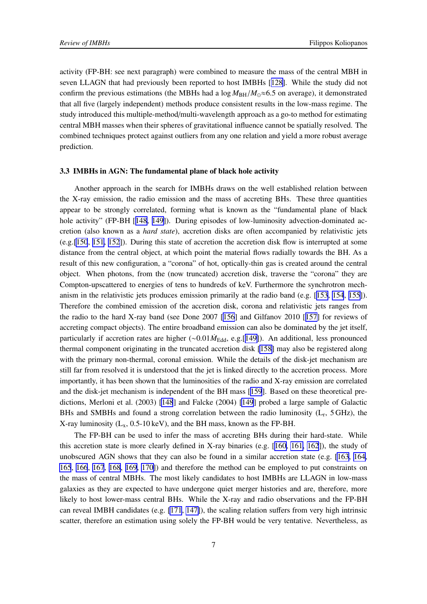activity (FP-BH: see next paragraph) were combined to measure the mass of the central MBH in seven LLAGN that had previously been reported to host IMBHs [[128\]](#page-21-0). While the study did not confirm the previous estimations (the MBHs had a  $\log M_{\text{BH}}/M_{\odot} \approx 6.5$  on average), it demonstrated that all five (largely independent) methods produce consistent results in the low-mass regime. The study introduced this multiple-method/multi-wavelength approach as a go-to method for estimating central MBH masses when their spheres of gravitational influence cannot be spatially resolved. The combined techniques protect against outliers from any one relation and yield a more robust average prediction.

#### 3.3 IMBHs in AGN: The fundamental plane of black hole activity

Another approach in the search for IMBHs draws on the well established relation between the X-ray emission, the radio emission and the mass of accreting BHs. These three quantities appear to be strongly correlated, forming what is known as the "fundamental plane of black hole activity" (FP-BH [[148](#page-23-0), [149\]](#page-23-0)). During episodes of low-luminosity advection-dominated accretion (also known as a *hard state*), accretion disks are often accompanied by relativistic jets (e.g.[\[150](#page-23-0), [151, 152](#page-23-0)]). During this state of accretion the accretion disk flow is interrupted at some distance from the central object, at which point the material flows radially towards the BH. As a result of this new configuration, a "corona" of hot, optically-thin gas is created around the central object. When photons, from the (now truncated) accretion disk, traverse the "corona" they are Compton-upscattered to energies of tens to hundreds of keV. Furthermore the synchrotron mechanism in the relativistic jets produces emission primarily at the radio band (e.g. [[153](#page-23-0), [154](#page-23-0), [155\]](#page-23-0)). Therefore the combined emission of the accretion disk, corona and relativistic jets ranges from the radio to the hard X-ray band (see Done 2007 [[156](#page-23-0)] and Gilfanov 2010 [[157\]](#page-23-0) for reviews of accreting compact objects). The entire broadband emission can also be dominated by the jet itself, particularly if accretion rates are higher (~0.01 $\dot{M}_{\text{Edd}}$ , e.g.[[149\]](#page-23-0)). An additional, less pronounced thermal component originating in the truncated accretion disk [\[158\]](#page-23-0) may also be registered along with the primary non-thermal, coronal emission. While the details of the disk-jet mechanism are still far from resolved it is understood that the jet is linked directly to the accretion process. More importantly, it has been shown that the luminosities of the radio and X-ray emission are correlated and the disk-jet mechanism is independent of the BH mass [[159](#page-24-0)]. Based on these theoretical predictions, Merloni et al. (2003) [\[148](#page-23-0)] and Falcke (2004) [\[149](#page-23-0)] probed a large sample of Galactic BHs and SMBHs and found a strong correlation between the radio luminosity  $(L_r, 5 \text{ GHz})$ , the X-ray luminosity  $(L_x, 0.5{\text -}10 \,\text{keV})$ , and the BH mass, known as the FP-BH.

The FP-BH can be used to infer the mass of accreting BHs during their hard-state. While this accretion state is more clearly defined in X-ray binaries (e.g. [[160, 161, 162](#page-24-0)]), the study of unobscured AGN shows that they can also be found in a similar accretion state (e.g. [\[163](#page-24-0), [164](#page-24-0), [165](#page-24-0), [166](#page-24-0), [167](#page-24-0), [168](#page-24-0), [169, 170\]](#page-24-0)) and therefore the method can be employed to put constraints on the mass of central MBHs. The most likely candidates to host IMBHs are LLAGN in low-mass galaxies as they are expected to have undergone quiet merger histories and are, therefore, more likely to host lower-mass central BHs. While the X-ray and radio observations and the FP-BH can reveal IMBH candidates (e.g. [\[171](#page-24-0), [147\]](#page-23-0)), the scaling relation suffers from very high intrinsic scatter, therefore an estimation using solely the FP-BH would be very tentative. Nevertheless, as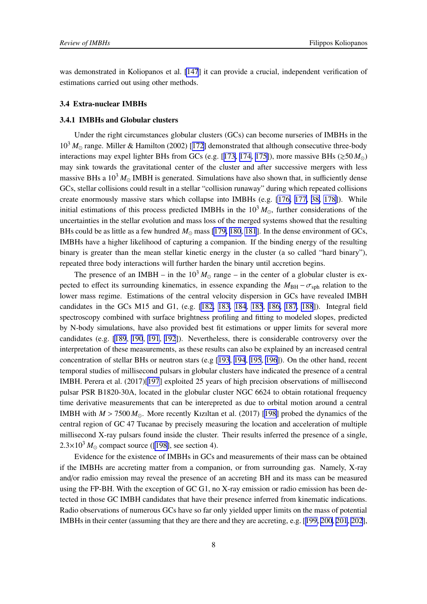was demonstrated in Koliopanos et al. [\[147](#page-23-0)] it can provide a crucial, independent verification of estimations carried out using other methods.

#### 3.4 Extra-nuclear IMBHs

#### 3.4.1 IMBHs and Globular clusters

Under the right circumstances globular clusters (GCs) can become nurseries of IMBHs in the 10<sup>3</sup> *M*<sup>⊙</sup> range. Miller & Hamilton (2002) [[172](#page-24-0)] demonstrated that although consecutive three-body interactions may expel lighter BHs from GCs (e.g. [[173, 174](#page-24-0), [175\]](#page-25-0)), more massive BHs ( $\gtrsim 50 M_{\odot}$ ) may sink towards the gravitational center of the cluster and after successive mergers with less massive BHs a  $10^3 M_{\odot}$  IMBH is generated. Simulations have also shown that, in sufficiently dense GCs, stellar collisions could result in a stellar "collision runaway" during which repeated collisions create enormously massive stars which collapse into IMBHs (e.g. [\[176, 177,](#page-25-0) [38,](#page-16-0) [178\]](#page-25-0)). While initial estimations of this process predicted IMBHs in the  $10^3 M_{\odot}$ , further considerations of the uncertainties in the stellar evolution and mass loss of the merged systems showed that the resulting BHs could be as little as a few hundred *M*⊙ mass [\[179, 180](#page-25-0), [181](#page-25-0)]. In the dense environment of GCs, IMBHs have a higher likelihood of capturing a companion. If the binding energy of the resulting binary is greater than the mean stellar kinetic energy in the cluster (a so called "hard binary"), repeated three body interactions will further harden the binary until accretion begins.

The presence of an IMBH – in the  $10<sup>3</sup>M<sub>o</sub>$  range – in the center of a globular cluster is expected to effect its surrounding kinematics, in essence expanding the  $M_{\text{BH}} - \sigma_{\text{sph}}$  relation to the lower mass regime. Estimations of the central velocity dispersion in GCs have revealed IMBH candidates in the GCs M15 and G1, (e.g. [\[182, 183](#page-25-0), [184](#page-25-0), [185](#page-25-0), [186, 187](#page-25-0), [188](#page-25-0)]). Integral field spectroscopy combined with surface brightness profiling and fitting to modeled slopes, predicted by N-body simulations, have also provided best fit estimations or upper limits for several more candidates (e.g. [\[189](#page-25-0), [190](#page-25-0), [191](#page-26-0), [192](#page-26-0)]). Nevertheless, there is considerable controversy over the interpretation of these measurements, as these results can also be explained by an increased central concentration of stellar BHs or neutron stars (e.g [[193](#page-26-0), [194](#page-26-0), [195](#page-26-0), [196](#page-26-0)]). On the other hand, recent temporal studies of millisecond pulsars in globular clusters have indicated the presence of a central IMBH. Perera et al. (2017)[[197](#page-26-0)] exploited 25 years of high precision observations of millisecond pulsar PSR B1820-30A, located in the globular cluster NGC 6624 to obtain rotational frequency time derivative measurements that can be interepreted as due to orbital motion around a central IMBH with  $M > 7500 M_{\odot}$ . More recently Kiziltan et al. (2017) [[198](#page-26-0)] probed the dynamics of the central region of GC 47 Tucanae by precisely measuring the location and acceleration of multiple millisecond X-ray pulsars found inside the cluster. Their results inferred the presence of a single,  $2.3\times10^3 M_{\odot}$  compact source ([\[198\]](#page-26-0), see section 4).

Evidence for the existence of IMBHs in GCs and measurements of their mass can be obtained if the IMBHs are accreting matter from a companion, or from surrounding gas. Namely, X-ray and/or radio emission may reveal the presence of an accreting BH and its mass can be measured using the FP-BH. With the exception of GC G1, no X-ray emission or radio emission has been detected in those GC IMBH candidates that have their presence inferred from kinematic indications. Radio observations of numerous GCs have so far only yielded upper limits on the mass of potential IMBHs in their center (assuming that they are there and they are accreting, e.g. [[199, 200](#page-26-0), [201](#page-26-0), [202](#page-26-0)],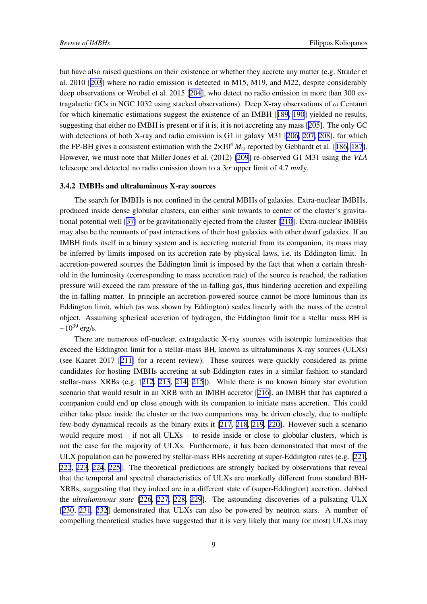but have also raised questions on their existence or whether they accrete any matter (e.g. Strader et al. 2010 [[203](#page-26-0)] where no radio emission is detected in M15, M19, and M22, despite considerably deep observations or Wrobel et al. 2015 [\[204](#page-26-0)], who detect no radio emission in more than 300 extragalactic GCs in NGC 1032 using stacked observations). Deep X-ray observations of  $\omega$  Centauri for which kinematic estimations suggest the existence of an IMBH [[189](#page-25-0), [190](#page-25-0)] yielded no results, suggesting that either no IMBH is present or if it is, it is not accreting any mass [[205](#page-26-0)]. The only GC with detections of both X-ray and radio emission is G1 in galaxy M31 [\[206, 207, 208](#page-27-0)], for which the FP-BH gives a consistent estimation with the  $2\times10^4 M_{\odot}$  reported by Gebhardt et al. [[186, 187](#page-25-0)]. However, we must note that Miller-Jones et al. (2012) [\[209](#page-27-0)] re-observed G1 M31 using the *VLA* telescope and detected no radio emission down to a  $3\sigma$  upper limit of 4.7 *mu*Jy.

### 3.4.2 IMBHs and ultraluminous X-ray sources

The search for IMBHs is not confined in the central MBHs of galaxies. Extra-nuclear IMBHs, produced inside dense globular clusters, can either sink towards to center of the cluster's gravitational potential well [\[37](#page-16-0)] or be gravitationally ejected from the cluster [\[210\]](#page-27-0). Extra-nuclear IMBHs may also be the remnants of past interactions of their host galaxies with other dwarf galaxies. If an IMBH finds itself in a binary system and is accreting material from its companion, its mass may be inferred by limits imposed on its accretion rate by physical laws, i.e. its Eddington limit. In accretion-powered sources the Eddington limit is imposed by the fact that when a certain threshold in the luminosity (corresponding to mass accretion rate) of the source is reached, the radiation pressure will exceed the ram pressure of the in-falling gas, thus hindering accretion and expelling the in-falling matter. In principle an accretion-powered source cannot be more luminous than its Eddington limit, which (as was shown by Eddington) scales linearly with the mass of the central object. Assuming spherical accretion of hydrogen, the Eddington limit for a stellar mass BH is  $\sim$ 10<sup>39</sup> erg/s.

There are numerous off-nuclear, extragalactic X-ray sources with isotropic luminosities that exceed the Eddington limit for a stellar-mass BH, known as ultraluminous X-ray sources (ULXs) (see Kaaret 2017 [\[211](#page-27-0)] for a recent review). These sources were quickly considered as prime candidates for hosting IMBHs accreting at sub-Eddington rates in a similar fashion to standard stellar-mass XRBs (e.g. [[212, 213](#page-27-0), [214, 215\]](#page-27-0)). While there is no known binary star evolution scenario that would result in an XRB with an IMBH accretor [[216](#page-27-0)], an IMBH that has captured a companion could end up close enough with its companion to initiate mass accretion. This could either take place inside the cluster or the two companions may be driven closely, due to multiple few-body dynamical recoils as the binary exits it [\[217, 218](#page-27-0), [219](#page-27-0), [220\]](#page-27-0). However such a scenario would require most – if not all ULXs – to reside inside or close to globular clusters, which is not the case for the majority of ULXs. Furthermore, it has been demonstrated that most of the ULX population can be powered by stellar-mass BHs accreting at super-Eddington rates (e.g. [[221](#page-27-0), [222](#page-28-0), [223](#page-28-0), [224](#page-28-0), [225\]](#page-28-0). The theoretical predictions are strongly backed by observations that reveal that the temporal and spectral characteristics of ULXs are markedly different from standard BH-XRBs, suggesting that they indeed are in a different state of (super-Eddington) accretion, dubbed the *ultraluminous state* [[226](#page-28-0), [227, 228](#page-28-0), [229](#page-28-0)]. The astounding discoveries of a pulsating ULX [[230](#page-28-0), [231](#page-28-0), [232\]](#page-28-0) demonstrated that ULXs can also be powered by neutron stars. A number of compelling theoretical studies have suggested that it is very likely that many (or most) ULXs may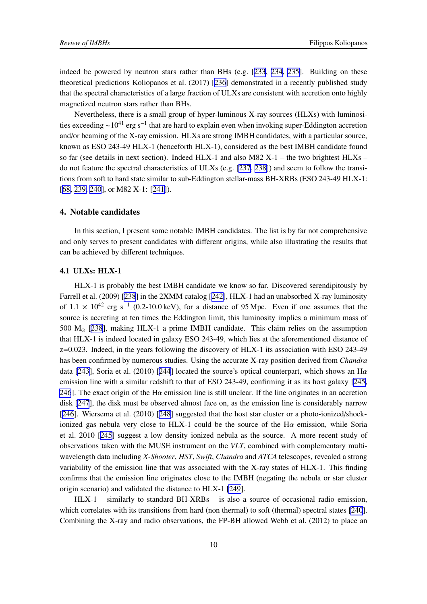indeed be powered by neutron stars rather than BHs (e.g. [\[233](#page-28-0), [234, 235](#page-28-0)]. Building on these theoretical predictions Koliopanos et al. (2017) [[236](#page-28-0)] demonstrated in a recently published study that the spectral characteristics of a large fraction of ULXs are consistent with accretion onto highly magnetized neutron stars rather than BHs.

Nevertheless, there is a small group of hyper-luminous X-ray sources (HLXs) with luminosities exceeding  $\sim 10^{41}$  erg s<sup>-1</sup> that are hard to explain even when invoking super-Eddington accretion and/or beaming of the X-ray emission. HLXs are strong IMBH candidates, with a particular source, known as ESO 243-49 HLX-1 (henceforth HLX-1), considered as the best IMBH candidate found so far (see details in next section). Indeed  $HLX-1$  and also M82 X-1 – the two brightest  $HLXs$  – do not feature the spectral characteristics of ULXs (e.g. [[237](#page-29-0), [238](#page-29-0)]) and seem to follow the transitions from soft to hard state similar to sub-Eddington stellar-mass BH-XRBs (ESO 243-49 HLX-1: [[68,](#page-18-0) [239, 240](#page-29-0)], or M82 X-1: [[241](#page-29-0)]).

# 4. Notable candidates

In this section, I present some notable IMBH candidates. The list is by far not comprehensive and only serves to present candidates with different origins, while also illustrating the results that can be achieved by different techniques.

# 4.1 ULXs: HLX-1

HLX-1 is probably the best IMBH candidate we know so far. Discovered serendipitously by Farrell et al. (2009) [\[238](#page-29-0)] in the 2XMM catalog [[242](#page-29-0)], HLX-1 had an unabsorbed X-ray luminosity of  $1.1 \times 10^{42}$  erg s<sup>-1</sup> (0.2-10.0 keV), for a distance of 95 Mpc. Even if one assumes that the source is accreting at ten times the Eddington limit, this luminosity implies a minimum mass of 500 M⊙ [[238](#page-29-0)], making HLX-1 a prime IMBH candidate. This claim relies on the assumption that HLX-1 is indeed located in galaxy ESO 243-49, which lies at the aforementioned distance of  $z=0.023$ . Indeed, in the years following the discovery of HLX-1 its association with ESO 243-49 has been confirmed by numerous studies. Using the accurate X-ray position derived from *Chandra* data [\[243\]](#page-29-0), Soria et al. (2010) [[244](#page-29-0)] located the source's optical counterpart, which shows an H $\alpha$ emission line with a similar redshift to that of ESO 243-49, confirming it as its host galaxy [[245](#page-29-0), [246](#page-29-0)]. The exact origin of the H $\alpha$  emission line is still unclear. If the line originates in an accretion disk [\[247](#page-29-0)], the disk must be observed almost face on, as the emission line is considerably narrow [[246](#page-29-0)]. Wiersema et al. (2010) [[248\]](#page-29-0) suggested that the host star cluster or a photo-ionized/shockionized gas nebula very close to HLX-1 could be the source of the  $H\alpha$  emission, while Soria et al. 2010 [[245](#page-29-0)] suggest a low density ionized nebula as the source. A more recent study of observations taken with the MUSE instrument on the *VLT*, combined with complementary multiwavelength data including *X-Shooter*, *HST*, *Swift*, *Chandra* and *ATCA* telescopes, revealed a strong variability of the emission line that was associated with the X-ray states of HLX-1. This finding confirms that the emission line originates close to the IMBH (negating the nebula or star cluster origin scenario) and validated the distance to HLX-1 [\[249\]](#page-29-0).

HLX-1 – similarly to standard BH-XRBs – is also a source of occasional radio emission, which correlates with its transitions from hard (non thermal) to soft (thermal) spectral states [\[240](#page-29-0)]. Combining the X-ray and radio observations, the FP-BH allowed Webb et al. (2012) to place an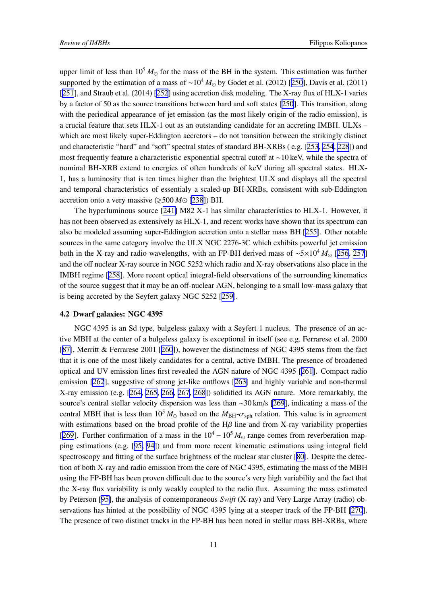upper limit of less than  $10^5 M_{\odot}$  for the mass of the BH in the system. This estimation was further supported by the estimation of a mass of ~10<sup>4</sup>  $M_{\odot}$  by Godet et al. (2012) [[250](#page-29-0)], Davis et al. (2011) [[251](#page-30-0)], and Straub et al. (2014) [\[252](#page-30-0)] using accretion disk modeling. The X-ray flux of HLX-1 varies by a factor of 50 as the source transitions between hard and soft states [\[250](#page-29-0)]. This transition, along with the periodical appearance of jet emission (as the most likely origin of the radio emission), is a crucial feature that sets HLX-1 out as an outstanding candidate for an accreting IMBH. ULXs – which are most likely super-Eddington accretors – do not transition between the strikingly distinct and characteristic "hard" and "soft" spectral states of standard BH-XRBs ( e.g. [[253](#page-30-0), [254](#page-30-0), [228](#page-28-0)]) and most frequently feature a characteristic exponential spectral cutoff at ∼10 keV, while the spectra of nominal BH-XRB extend to energies of often hundreds of keV during all spectral states. HLX-1, has a luminosity that is ten times higher than the brightest ULX and displays all the spectral and temporal characteristics of essentialy a scaled-up BH-XRBs, consistent with sub-Eddington accretion onto a very massive  $(\geq 500 \, M \odot [238])$  $(\geq 500 \, M \odot [238])$  $(\geq 500 \, M \odot [238])$  BH.

The hyperluminous source [\[241\]](#page-29-0) M82 X-1 has similar characteristics to HLX-1. However, it has not been observed as extensively as HLX-1, and recent works have shown that its spectrum can also be modeled assuming super-Eddington accretion onto a stellar mass BH [[255\]](#page-30-0). Other notable sources in the same category involve the ULX NGC 2276-3C which exhibits powerful jet emission both in the X-ray and radio wavelengths, with an FP-BH derived mass of ∼5×10<sup>4</sup> *M*<sup>⊙</sup> [[256, 257](#page-30-0)] and the off nuclear X-ray source in NGC 5252 which radio and X-ray observations also place in the IMBH regime [[258](#page-30-0)]. More recent optical integral-field observations of the surrounding kinematics of the source suggest that it may be an off-nuclear AGN, belonging to a small low-mass galaxy that is being accreted by the Seyfert galaxy NGC 5252 [[259](#page-30-0)].

#### 4.2 Dwarf galaxies: NGC 4395

NGC 4395 is an Sd type, bulgeless galaxy with a Seyfert 1 nucleus. The presence of an active MBH at the center of a bulgeless galaxy is exceptional in itself (see e.g. Ferrarese et al. 2000 [[87\]](#page-19-0), Merritt & Ferrarese 2001 [[260](#page-30-0)]), however the distinctness of NGC 4395 stems from the fact that it is one of the most likely candidates for a central, active IMBH. The presence of broadened optical and UV emission lines first revealed the AGN nature of NGC 4395 [[261\]](#page-30-0). Compact radio emission [\[262](#page-30-0)], suggestive of strong jet-like outflows [[263](#page-30-0)] and highly variable and non-thermal X-ray emission (e.g. [\[264, 265](#page-30-0), [266, 267](#page-31-0), [268](#page-31-0)]) solidified its AGN nature. More remarkably, the source's central stellar velocity dispersion was less than ∼30 km/s [\[269\]](#page-31-0), indicating a mass of the central MBH that is less than  $10^5 M_{\odot}$  based on the  $M_{\rm BH}$ - $\sigma_{\rm sph}$  relation. This value is in agreement with estimations based on the broad profile of the Hβ line and from X-ray variability properties [[269](#page-31-0)]. Further confirmation of a mass in the  $10^4 - 10^5 M_{\odot}$  range comes from reverberation mapping estimations (e.g. [[95,](#page-20-0) [94](#page-19-0)]) and from more recent kinematic estimations using integral field spectroscopy and fitting of the surface brightness of the nuclear star cluster [\[80](#page-19-0)]. Despite the detection of both X-ray and radio emission from the core of NGC 4395, estimating the mass of the MBH using the FP-BH has been proven difficult due to the source's very high variability and the fact that the X-ray flux variability is only weakly coupled to the radio flux. Assuming the mass estimated by Peterson [\[95\]](#page-20-0), the analysis of contemporaneous *Swift* (X-ray) and Very Large Array (radio) observations has hinted at the possibility of NGC 4395 lying at a steeper track of the FP-BH [\[270](#page-31-0)]. The presence of two distinct tracks in the FP-BH has been noted in stellar mass BH-XRBs, where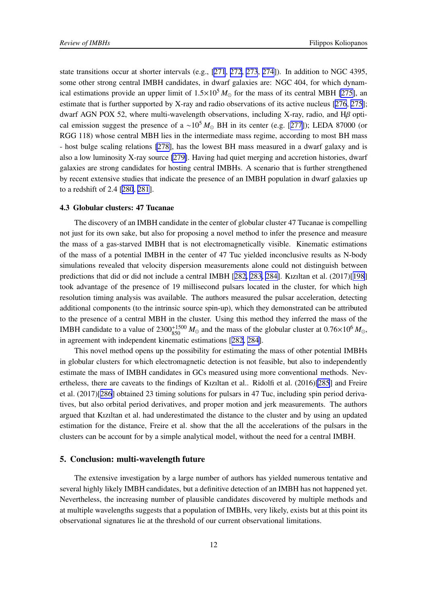state transitions occur at shorter intervals (e.g., [\[271](#page-31-0), [272](#page-31-0), [273](#page-31-0), [274](#page-31-0)]). In addition to NGC 4395, some other strong central IMBH candidates, in dwarf galaxies are: NGC 404, for which dynamical estimations provide an upper limit of  $1.5\times10^5 M_{\odot}$  for the mass of its central MBH [\[275\]](#page-31-0), an estimate that is further supported by X-ray and radio observations of its active nucleus [[276](#page-31-0), [275](#page-31-0)]; dwarf AGN POX 52, where multi-wavelength observations, including X-ray, radio, and Hβ optical emission suggest the presence of a ~10<sup>5</sup>  $M_{\odot}$  BH in its center (e.g. [[277](#page-31-0)]); LEDA 87000 (or RGG 118) whose central MBH lies in the intermediate mass regime, according to most BH mass - host bulge scaling relations [\[278\]](#page-31-0), has the lowest BH mass measured in a dwarf galaxy and is also a low luminosity X-ray source [\[279\]](#page-31-0). Having had quiet merging and accretion histories, dwarf galaxies are strong candidates for hosting central IMBHs. A scenario that is further strengthened by recent extensive studies that indicate the presence of an IMBH population in dwarf galaxies up to a redshift of 2.4 [[280](#page-31-0), [281](#page-31-0)].

### 4.3 Globular clusters: 47 Tucanae

The discovery of an IMBH candidate in the center of globular cluster 47 Tucanae is compelling not just for its own sake, but also for proposing a novel method to infer the presence and measure the mass of a gas-starved IMBH that is not electromagnetically visible. Kinematic estimations of the mass of a potential IMBH in the center of 47 Tuc yielded inconclusive results as N-body simulations revealed that velocity dispersion measurements alone could not distinguish between predictions that did or did not include a central IMBH [[282, 283, 284\]](#page-32-0). Kızıltan et al. (2017)[[198](#page-26-0)] took advantage of the presence of 19 millisecond pulsars located in the cluster, for which high resolution timing analysis was available. The authors measured the pulsar acceleration, detecting additional components (to the intrinsic source spin-up), which they demonstrated can be attributed to the presence of a central MBH in the cluster. Using this method they inferred the mass of the IMBH candidate to a value of  $2300_{850}^{+1500} M_{\odot}$  and the mass of the globular cluster at  $0.76\times10^6 M_{\odot}$ , in agreement with independent kinematic estimations [[282](#page-32-0), [284\]](#page-32-0).

This novel method opens up the possibility for estimating the mass of other potential IMBHs in globular clusters for which electromagnetic detection is not feasible, but also to independently estimate the mass of IMBH candidates in GCs measured using more conventional methods. Nevertheless, there are caveats to the findings of Kızıltan et al.. Ridolfi et al. (2016)[\[285](#page-32-0)] and Freire et al. (2017)[[286](#page-32-0)] obtained 23 timing solutions for pulsars in 47 Tuc, including spin period derivatives, but also orbital period derivatives, and proper motion and jerk measurements. The authors argued that Kızıltan et al. had underestimated the distance to the cluster and by using an updated estimation for the distance, Freire et al. show that the all the accelerations of the pulsars in the clusters can be account for by a simple analytical model, without the need for a central IMBH.

# 5. Conclusion: multi-wavelength future

The extensive investigation by a large number of authors has yielded numerous tentative and several highly likely IMBH candidates, but a definitive detection of an IMBH has not happened yet. Nevertheless, the increasing number of plausible candidates discovered by multiple methods and at multiple wavelengths suggests that a population of IMBHs, very likely, exists but at this point its observational signatures lie at the threshold of our current observational limitations.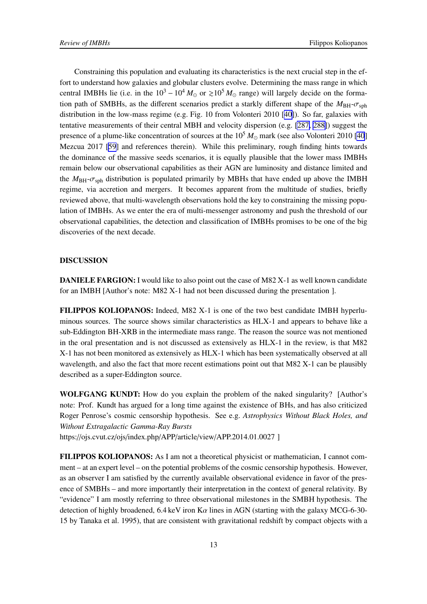Constraining this population and evaluating its characteristics is the next crucial step in the effort to understand how galaxies and globular clusters evolve. Determining the mass range in which central IMBHs lie (i.e. in the  $10^3 - 10^4 M_{\odot}$  or  $\ge 10^5 M_{\odot}$  range) will largely decide on the formation path of SMBHs, as the different scenarios predict a starkly different shape of the  $M_{\text{BH}}-\sigma_{\text{sph}}$ distribution in the low-mass regime (e.g. Fig. 10 from Volonteri 2010 [\[40\]](#page-16-0)). So far, galaxies with tentative measurements of their central MBH and velocity dispersion (e.g. [\[287, 288\]](#page-32-0)) suggest the presence of a plume-like concentration of sources at the  $10^5 M_{\odot}$  mark (see also Volonteri 2010 [\[40](#page-16-0)] Mezcua 2017 [\[59](#page-17-0)] and references therein). While this preliminary, rough finding hints towards the dominance of the massive seeds scenarios, it is equally plausible that the lower mass IMBHs remain below our observational capabilities as their AGN are luminosity and distance limited and the  $M_{\text{BH}}-\sigma_{\text{sph}}$  distribution is populated primarily by MBHs that have ended up above the IMBH regime, via accretion and mergers. It becomes apparent from the multitude of studies, briefly reviewed above, that multi-wavelength observations hold the key to constraining the missing population of IMBHs. As we enter the era of multi-messenger astronomy and push the threshold of our observational capabilities, the detection and classification of IMBHs promises to be one of the big discoveries of the next decade.

### DISCUSSION

DANIELE FARGION: I would like to also point out the case of M82 X-1 as well known candidate for an IMBH [Author's note: M82 X-1 had not been discussed during the presentation ].

FILIPPOS KOLIOPANOS: Indeed, M82 X-1 is one of the two best candidate IMBH hyperluminous sources. The source shows similar characteristics as HLX-1 and appears to behave like a sub-Eddington BH-XRB in the intermediate mass range. The reason the source was not mentioned in the oral presentation and is not discussed as extensively as HLX-1 in the review, is that M82 X-1 has not been monitored as extensively as HLX-1 which has been systematically observed at all wavelength, and also the fact that more recent estimations point out that M82 X-1 can be plausibly described as a super-Eddington source.

WOLFGANG KUNDT: How do you explain the problem of the naked singularity? [Author's note: Prof. Kundt has argued for a long time against the existence of BHs, and has also criticized Roger Penrose's cosmic censorship hypothesis. See e.g. *Astrophysics Without Black Holes, and Without Extragalactic Gamma-Ray Bursts*

https://ojs.cvut.cz/ojs/index.php/APP/article/view/APP.2014.01.0027 ]

FILIPPOS KOLIOPANOS: As I am not a theoretical physicist or mathematician, I cannot comment – at an expert level – on the potential problems of the cosmic censorship hypothesis. However, as an observer I am satisfied by the currently available observational evidence in favor of the presence of SMBHs – and more importantly their interpretation in the context of general relativity. By "evidence" I am mostly referring to three observational milestones in the SMBH hypothesis. The detection of highly broadened, 6.4 keV iron  $K\alpha$  lines in AGN (starting with the galaxy MCG-6-30-15 by Tanaka et al. 1995), that are consistent with gravitational redshift by compact objects with a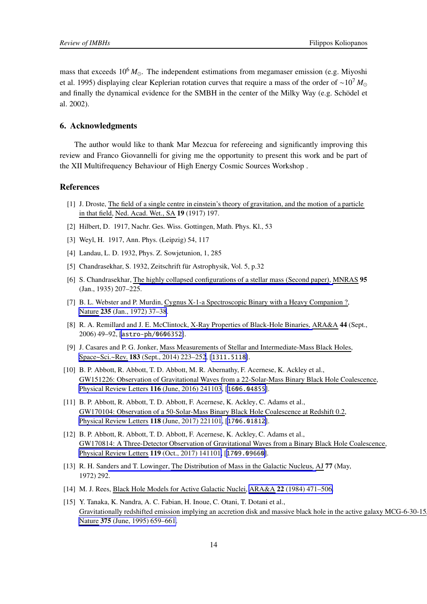<span id="page-14-0"></span>mass that exceeds  $10^6 M_{\odot}$ . The independent estimations from megamaser emission (e.g. Miyoshi et al. 1995) displaying clear Keplerian rotation curves that require a mass of the order of ∼10<sup>7</sup> *M*<sup>⊙</sup> and finally the dynamical evidence for the SMBH in the center of the Milky Way (e.g. Schödel et al. 2002).

### 6. Acknowledgments

The author would like to thank Mar Mezcua for refereeing and significantly improving this review and Franco Giovannelli for giving me the opportunity to present this work and be part of the XII Multifrequency Behaviour of High Energy Cosmic Sources Workshop .

#### References

- [1] J. Droste, The field of a single centre in einstein's theory of gravitation, and the motion of a particle in that field, Ned. Acad. Wet., SA 19 (1917) 197.
- [2] Hilbert, D. 1917, Nachr. Ges. Wiss. Gottingen, Math. Phys. Kl., 53
- [3] Weyl, H. 1917, Ann. Phys. (Leipzig) 54, 117
- [4] Landau, L. D. 1932, Phys. Z. Sowjetunion, 1, 285
- [5] Chandrasekhar, S. 1932, Zeitschrift für Astrophysik, Vol. 5, p.32
- [6] S. Chandrasekhar, The highly collapsed configurations of a stellar mass (Second paper), MNRAS 95 (Jan., 1935) 207–225.
- [7] B. L. Webster and P. Murdin, Cygnus X-1-a Spectroscopic Binary with a Heavy Companion ?, Nature 235 [\(Jan., 1972\) 37–38](https://doi.org/10.1038/235037a0).
- [8] R. A. Remillard and J. E. McClintock, X-Ray Properties of Black-Hole Binaries, ARA&A 44 (Sept., 2006) 49–92, [[astro-ph/0606352](https://arxiv.org/abs/astro-ph/0606352)].
- [9] J. Casares and P. G. Jonker, Mass Measurements of Stellar and Intermediate-Mass Black Holes, Space~Sci.~Rev. 183 [\(Sept., 2014\) 223–252](https://doi.org/10.1007/s11214-013-0030-6), [[1311.5118](https://arxiv.org/abs/1311.5118)].
- [10] B. P. Abbott, R. Abbott, T. D. Abbott, M. R. Abernathy, F. Acernese, K. Ackley et al., GW151226: Observation of Gravitational Waves from a 22-Solar-Mass Binary Black Hole Coalescence, Physical Review Letters 116 [\(June, 2016\) 241103](https://doi.org/10.1103/PhysRevLett.116.241103), [[1606.04855](https://arxiv.org/abs/1606.04855)].
- [11] B. P. Abbott, R. Abbott, T. D. Abbott, F. Acernese, K. Ackley, C. Adams et al., GW170104: Observation of a 50-Solar-Mass Binary Black Hole Coalescence at Redshift 0.2, Physical Review Letters 118 [\(June, 2017\) 221101](https://doi.org/10.1103/PhysRevLett.118.221101), [[1706.01812](https://arxiv.org/abs/1706.01812)].
- [12] B. P. Abbott, R. Abbott, T. D. Abbott, F. Acernese, K. Ackley, C. Adams et al., GW170814: A Three-Detector Observation of Gravitational Waves from a Binary Black Hole Coalescence, Physical Review Letters 119 [\(Oct., 2017\) 141101,](https://doi.org/10.1103/PhysRevLett.119.141101) [[1709.09660](https://arxiv.org/abs/1709.09660)].
- [13] R. H. Sanders and T. Lowinger, The Distribution of Mass in the Galactic Nucleus, AJ 77 (May, 1972) 292.
- [14] M. J. Rees, Black Hole Models for Active Galactic Nuclei, ARA&A 22 [\(1984\) 471–506.](https://doi.org/10.1146/annurev.aa.22.090184.002351)
- [15] Y. Tanaka, K. Nandra, A. C. Fabian, H. Inoue, C. Otani, T. Dotani et al., Gravitationally redshifted emission implying an accretion disk and massive black hole in the active galaxy MCG-6-30-15, Nature 375 [\(June, 1995\) 659–661.](https://doi.org/10.1038/375659a0)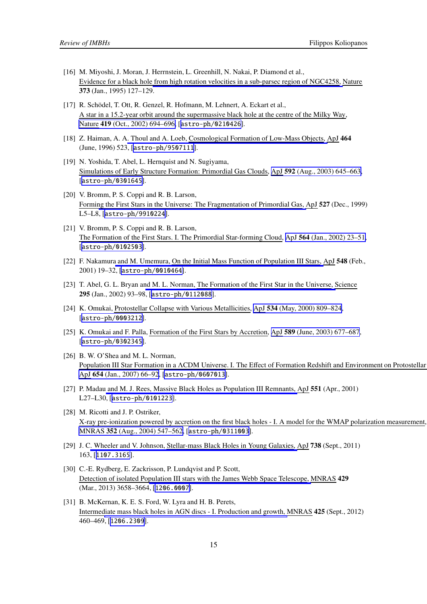- <span id="page-15-0"></span>[16] M. Miyoshi, J. Moran, J. Herrnstein, L. Greenhill, N. Nakai, P. Diamond et al., Evidence for a black hole from high rotation velocities in a sub-parsec region of NGC4258, Nature 373 (Jan., 1995) 127–129.
- [17] R. Schödel, T. Ott, R. Genzel, R. Hofmann, M. Lehnert, A. Eckart et al., A star in a 15.2-year orbit around the supermassive black hole at the centre of the Milky Way, Nature 419 [\(Oct., 2002\) 694–696,](https://doi.org/10.1038/nature01121) [[astro-ph/0210426](https://arxiv.org/abs/astro-ph/0210426)].
- [18] Z. Haiman, A. A. Thoul and A. Loeb, Cosmological Formation of Low-Mass Objects, ApJ 464 (June, 1996) 523, [[astro-ph/9507111](https://arxiv.org/abs/astro-ph/9507111)].
- [19] N. Yoshida, T. Abel, L. Hernquist and N. Sugiyama, Simulations of Early Structure Formation: Primordial Gas Clouds, ApJ 592 [\(Aug., 2003\) 645–663,](https://doi.org/10.1086/375810) [[astro-ph/0301645](https://arxiv.org/abs/astro-ph/0301645)].
- [20] V. Bromm, P. S. Coppi and R. B. Larson, Forming the First Stars in the Universe: The Fragmentation of Primordial Gas, ApJ 527 (Dec., 1999) L5–L8, [[astro-ph/9910224](https://arxiv.org/abs/astro-ph/9910224)].
- [21] V. Bromm, P. S. Coppi and R. B. Larson, The Formation of the First Stars. I. The Primordial Star-forming Cloud, ApJ 564 [\(Jan., 2002\) 23–51,](https://doi.org/10.1086/323947) [[astro-ph/0102503](https://arxiv.org/abs/astro-ph/0102503)].
- [22] F. Nakamura and M. Umemura, On the Initial Mass Function of Population III Stars, ApJ 548 (Feb., 2001) 19–32, [[astro-ph/0010464](https://arxiv.org/abs/astro-ph/0010464)].
- [23] T. Abel, G. L. Bryan and M. L. Norman, The Formation of the First Star in the Universe, Science 295 (Jan., 2002) 93–98, [[astro-ph/0112088](https://arxiv.org/abs/astro-ph/0112088)].
- [24] K. Omukai, Protostellar Collapse with Various Metallicities, ApJ 534 [\(May, 2000\) 809–824](https://doi.org/10.1086/308776), [[astro-ph/0003212](https://arxiv.org/abs/astro-ph/0003212)].
- [25] K. Omukai and F. Palla, Formation of the First Stars by Accretion, ApJ 589 [\(June, 2003\) 677–687](https://doi.org/10.1086/374810), [[astro-ph/0302345](https://arxiv.org/abs/astro-ph/0302345)].
- [26] B. W. O'Shea and M. L. Norman, Population III Star Formation in a ΛCDM Universe. I. The Effect of Formation Redshift and Environment on Protostellar ApJ 654 [\(Jan., 2007\) 66–92](https://doi.org/10.1086/509250), [[astro-ph/0607013](https://arxiv.org/abs/astro-ph/0607013)].
- [27] P. Madau and M. J. Rees, Massive Black Holes as Population III Remnants, ApJ 551 (Apr., 2001) L27–L30, [[astro-ph/0101223](https://arxiv.org/abs/astro-ph/0101223)].
- [28] M. Ricotti and J. P. Ostriker, X-ray pre-ionization powered by accretion on the first black holes - I. A model for the WMAP polarization measurement, MNRAS 352 [\(Aug., 2004\) 547–562,](https://doi.org/10.1111/j.1365-2966.2004.07942.x) [[astro-ph/0311003](https://arxiv.org/abs/astro-ph/0311003)].
- [29] J. C. Wheeler and V. Johnson, Stellar-mass Black Holes in Young Galaxies, ApJ 738 (Sept., 2011) 163, [[1107.3165](https://arxiv.org/abs/1107.3165)].
- [30] C.-E. Rydberg, E. Zackrisson, P. Lundqvist and P. Scott, Detection of isolated Population III stars with the James Webb Space Telescope, MNRAS 429 (Mar., 2013) 3658–3664, [[1206.0007](https://arxiv.org/abs/1206.0007)].
- [31] B. McKernan, K. E. S. Ford, W. Lyra and H. B. Perets, Intermediate mass black holes in AGN discs - I. Production and growth, MNRAS 425 (Sept., 2012) 460–469, [[1206.2309](https://arxiv.org/abs/1206.2309)].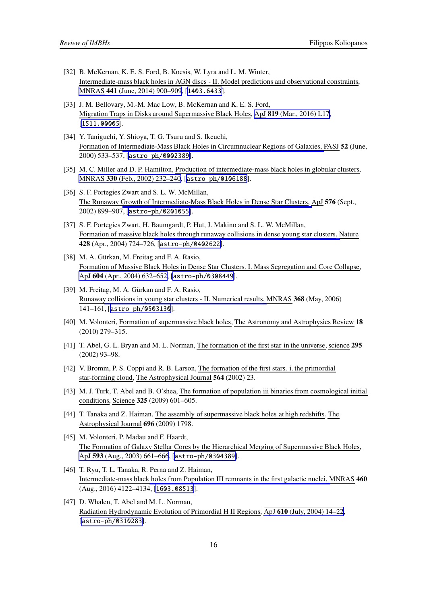- <span id="page-16-0"></span>[32] B. McKernan, K. E. S. Ford, B. Kocsis, W. Lyra and L. M. Winter, Intermediate-mass black holes in AGN discs - II. Model predictions and observational constraints, MNRAS 441 [\(June, 2014\) 900–909](https://doi.org/10.1093/mnras/stu553), [[1403.6433](https://arxiv.org/abs/1403.6433)].
- [33] J. M. Bellovary, M.-M. Mac Low, B. McKernan and K. E. S. Ford, Migration Traps in Disks around Supermassive Black Holes, ApJ 819 [\(Mar., 2016\) L17](https://doi.org/10.3847/2041-8205/819/2/L17), [[1511.00005](https://arxiv.org/abs/1511.00005)].
- [34] Y. Taniguchi, Y. Shioya, T. G. Tsuru and S. Ikeuchi, Formation of Intermediate-Mass Black Holes in Circumnuclear Regions of Galaxies, PASJ 52 (June, 2000) 533–537, [[astro-ph/0002389](https://arxiv.org/abs/astro-ph/0002389)].
- [35] M. C. Miller and D. P. Hamilton, Production of intermediate-mass black holes in globular clusters, MNRAS 330 [\(Feb., 2002\) 232–240,](https://doi.org/10.1046/j.1365-8711.2002.05112.x) [[astro-ph/0106188](https://arxiv.org/abs/astro-ph/0106188)].
- [36] S. F. Portegies Zwart and S. L. W. McMillan, The Runaway Growth of Intermediate-Mass Black Holes in Dense Star Clusters, ApJ 576 (Sept., 2002) 899–907, [[astro-ph/0201055](https://arxiv.org/abs/astro-ph/0201055)].
- [37] S. F. Portegies Zwart, H. Baumgardt, P. Hut, J. Makino and S. L. W. McMillan, Formation of massive black holes through runaway collisions in dense young star clusters, Nature 428 (Apr., 2004) 724–726, [[astro-ph/0402622](https://arxiv.org/abs/astro-ph/0402622)].
- [38] M. A. Gürkan, M. Freitag and F. A. Rasio, Formation of Massive Black Holes in Dense Star Clusters. I. Mass Segregation and Core Collapse, ApJ 604 [\(Apr., 2004\) 632–652](https://doi.org/10.1086/381968), [[astro-ph/0308449](https://arxiv.org/abs/astro-ph/0308449)].
- [39] M. Freitag, M. A. Gürkan and F. A. Rasio, Runaway collisions in young star clusters - II. Numerical results, MNRAS 368 (May, 2006) 141–161, [[astro-ph/0503130](https://arxiv.org/abs/astro-ph/0503130)].
- [40] M. Volonteri, Formation of supermassive black holes, The Astronomy and Astrophysics Review 18 (2010) 279–315.
- [41] T. Abel, G. L. Bryan and M. L. Norman, The formation of the first star in the universe, science 295 (2002) 93–98.
- [42] V. Bromm, P. S. Coppi and R. B. Larson, The formation of the first stars. i. the primordial star-forming cloud, The Astrophysical Journal 564 (2002) 23.
- [43] M. J. Turk, T. Abel and B. O'shea, The formation of population iii binaries from cosmological initial conditions, Science 325 (2009) 601–605.
- [44] T. Tanaka and Z. Haiman, The assembly of supermassive black holes at high redshifts, The Astrophysical Journal 696 (2009) 1798.
- [45] M. Volonteri, P. Madau and F. Haardt, The Formation of Galaxy Stellar Cores by the Hierarchical Merging of Supermassive Black Holes, ApJ 593 [\(Aug., 2003\) 661–666](https://doi.org/10.1086/376722), [[astro-ph/0304389](https://arxiv.org/abs/astro-ph/0304389)].
- [46] T. Ryu, T. L. Tanaka, R. Perna and Z. Haiman, Intermediate-mass black holes from Population III remnants in the first galactic nuclei, MNRAS 460 (Aug., 2016) 4122–4134, [[1603.08513](https://arxiv.org/abs/1603.08513)].
- [47] D. Whalen, T. Abel and M. L. Norman, Radiation Hydrodynamic Evolution of Primordial H II Regions, ApJ 610 [\(July, 2004\) 14–22,](https://doi.org/10.1086/421548) [[astro-ph/0310283](https://arxiv.org/abs/astro-ph/0310283)].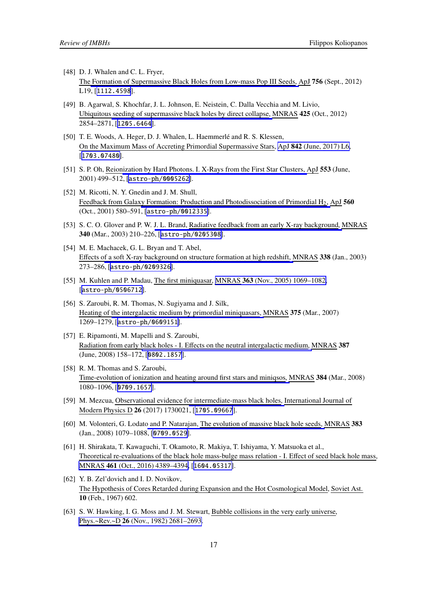- <span id="page-17-0"></span>[48] D. J. Whalen and C. L. Fryer, The Formation of Supermassive Black Holes from Low-mass Pop III Seeds, ApJ 756 (Sept., 2012) L19, [[1112.4598](https://arxiv.org/abs/1112.4598)].
- [49] B. Agarwal, S. Khochfar, J. L. Johnson, E. Neistein, C. Dalla Vecchia and M. Livio, Ubiquitous seeding of supermassive black holes by direct collapse, MNRAS 425 (Oct., 2012) 2854–2871, [[1205.6464](https://arxiv.org/abs/1205.6464)].
- [50] T. E. Woods, A. Heger, D. J. Whalen, L. Haemmerlé and R. S. Klessen, On the Maximum Mass of Accreting Primordial Supermassive Stars, ApJ 842 [\(June, 2017\) L6,](https://doi.org/10.3847/2041-8213/aa7412) [[1703.07480](https://arxiv.org/abs/1703.07480)].
- [51] S. P. Oh, Reionization by Hard Photons. I. X-Rays from the First Star Clusters, ApJ 553 (June, 2001) 499–512, [[astro-ph/0005262](https://arxiv.org/abs/astro-ph/0005262)].
- [52] M. Ricotti, N. Y. Gnedin and J. M. Shull, Feedback from Galaxy Formation: Production and Photodissociation of Primordial H2, ApJ 560 (Oct., 2001) 580–591, [[astro-ph/0012335](https://arxiv.org/abs/astro-ph/0012335)].
- [53] S. C. O. Glover and P. W. J. L. Brand, Radiative feedback from an early X-ray background, MNRAS 340 (Mar., 2003) 210–226, [[astro-ph/0205308](https://arxiv.org/abs/astro-ph/0205308)].
- [54] M. E. Machacek, G. L. Bryan and T. Abel, Effects of a soft X-ray background on structure formation at high redshift, MNRAS 338 (Jan., 2003) 273–286, [[astro-ph/0209326](https://arxiv.org/abs/astro-ph/0209326)].
- [55] M. Kuhlen and P. Madau, The first miniquasar, MNRAS 363 [\(Nov., 2005\) 1069–1082,](https://doi.org/10.1111/j.1365-2966.2005.09522.x) [[astro-ph/0506712](https://arxiv.org/abs/astro-ph/0506712)].
- [56] S. Zaroubi, R. M. Thomas, N. Sugiyama and J. Silk, Heating of the intergalactic medium by primordial miniquasars, MNRAS 375 (Mar., 2007) 1269–1279, [[astro-ph/0609151](https://arxiv.org/abs/astro-ph/0609151)].
- [57] E. Ripamonti, M. Mapelli and S. Zaroubi, Radiation from early black holes - I. Effects on the neutral intergalactic medium, MNRAS 387 (June, 2008) 158–172, [[0802.1857](https://arxiv.org/abs/0802.1857)].
- [58] R. M. Thomas and S. Zaroubi, Time-evolution of ionization and heating around first stars and miniqsos, MNRAS 384 (Mar., 2008) 1080–1096, [[0709.1657](https://arxiv.org/abs/0709.1657)].
- [59] M. Mezcua, Observational evidence for intermediate-mass black holes, International Journal of Modern Physics D 26 (2017) 1730021, [[1705.09667](https://arxiv.org/abs/1705.09667)].
- [60] M. Volonteri, G. Lodato and P. Natarajan, The evolution of massive black hole seeds, MNRAS 383 (Jan., 2008) 1079–1088, [[0709.0529](https://arxiv.org/abs/0709.0529)].
- [61] H. Shirakata, T. Kawaguchi, T. Okamoto, R. Makiya, T. Ishiyama, Y. Matsuoka et al., Theoretical re-evaluations of the black hole mass-bulge mass relation - I. Effect of seed black hole mass, MNRAS 461 [\(Oct., 2016\) 4389–4394,](https://doi.org/10.1093/mnras/stw1798) [[1604.05317](https://arxiv.org/abs/1604.05317)].
- [62] Y. B. Zel'dovich and I. D. Novikov, The Hypothesis of Cores Retarded during Expansion and the Hot Cosmological Model, Soviet Ast. 10 (Feb., 1967) 602.
- [63] S. W. Hawking, I. G. Moss and J. M. Stewart, Bubble collisions in the very early universe, Phys.~Rev.~D 26 [\(Nov., 1982\) 2681–2693.](https://doi.org/10.1103/PhysRevD.26.2681)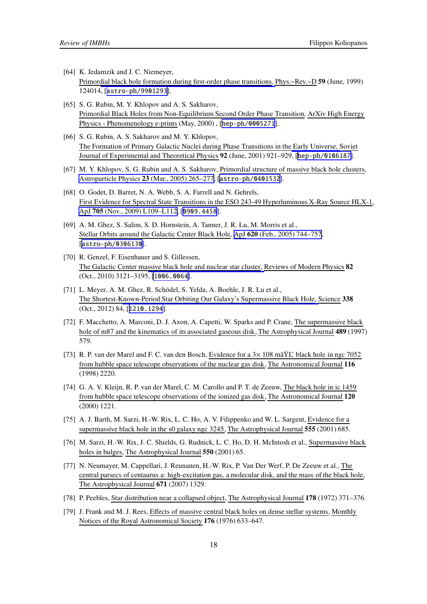- <span id="page-18-0"></span>[64] K. Jedamzik and J. C. Niemeyer, Primordial black hole formation during first-order phase transitions, Phys.~Rev.~D 59 (June, 1999) 124014, [[astro-ph/9901293](https://arxiv.org/abs/astro-ph/9901293)].
- [65] S. G. Rubin, M. Y. Khlopov and A. S. Sakharov, Primordial Black Holes from Non-Equilibrium Second Order Phase Transition, ArXiv High Energy Physics - Phenomenology e-prints (May, 2000) , [[hep-ph/0005271](https://arxiv.org/abs/hep-ph/0005271)].
- [66] S. G. Rubin, A. S. Sakharov and M. Y. Khlopov, The Formation of Primary Galactic Nuclei during Phase Transitions in the Early Universe, Soviet Journal of Experimental and Theoretical Physics 92 (June, 2001) 921–929, [[hep-ph/0106187](https://arxiv.org/abs/hep-ph/0106187)].
- [67] M. Y. Khlopov, S. G. Rubin and A. S. Sakharov, Primordial structure of massive black hole clusters, Astroparticle Physics 23 [\(Mar., 2005\) 265–277](https://doi.org/10.1016/j.astropartphys.2004.12.002), [[astro-ph/0401532](https://arxiv.org/abs/astro-ph/0401532)].
- [68] O. Godet, D. Barret, N. A. Webb, S. A. Farrell and N. Gehrels, First Evidence for Spectral State Transitions in the ESO 243-49 Hyperluminous X-Ray Source HLX-1, ApJ 705 [\(Nov., 2009\) L109–L112,](https://doi.org/10.1088/0004-637X/705/2/L109) [[0909.4458](https://arxiv.org/abs/0909.4458)].
- [69] A. M. Ghez, S. Salim, S. D. Hornstein, A. Tanner, J. R. Lu, M. Morris et al., Stellar Orbits around the Galactic Center Black Hole, ApJ 620 [\(Feb., 2005\) 744–757](https://doi.org/10.1086/427175), [[astro-ph/0306130](https://arxiv.org/abs/astro-ph/0306130)].
- [70] R. Genzel, F. Eisenhauer and S. Gillessen, The Galactic Center massive black hole and nuclear star cluster, Reviews of Modern Physics 82 (Oct., 2010) 3121–3195, [[1006.0064](https://arxiv.org/abs/1006.0064)].
- [71] L. Meyer, A. M. Ghez, R. Schödel, S. Yelda, A. Boehle, J. R. Lu et al., The Shortest-Known-Period Star Orbiting Our Galaxy's Supermassive Black Hole, Science 338 (Oct., 2012) 84, [[1210.1294](https://arxiv.org/abs/1210.1294)].
- [72] F. Macchetto, A. Marconi, D. J. Axon, A. Capetti, W. Sparks and P. Crane, The supermassive black hole of m87 and the kinematics of its associated gaseous disk, The Astrophysical Journal 489 (1997) 579.
- [73] R. P. van der Marel and F. C. van den Bosch, Evidence for a 3× 108 mâŸL' black hole in ngc 7052 from hubble space telescope observations of the nuclear gas disk, The Astronomical Journal 116 (1998) 2220.
- [74] G. A. V. Kleijn, R. P. van der Marel, C. M. Carollo and P. T. de Zeeuw, The black hole in ic 1459 from hubble space telescope observations of the ionized gas disk, The Astronomical Journal 120 (2000) 1221.
- [75] A. J. Barth, M. Sarzi, H.-W. Rix, L. C. Ho, A. V. Filippenko and W. L. Sargent, Evidence for a supermassive black hole in the s0 galaxy ngc 3245, The Astrophysical Journal 555 (2001) 685.
- [76] M. Sarzi, H.-W. Rix, J. C. Shields, G. Rudnick, L. C. Ho, D. H. McIntosh et al., Supermassive black holes in bulges, The Astrophysical Journal 550 (2001) 65.
- [77] N. Neumayer, M. Cappellari, J. Reunanen, H.-W. Rix, P. Van Der Werf, P. De Zeeuw et al., The central parsecs of centaurus a: high-excitation gas, a molecular disk, and the mass of the black hole, The Astrophysical Journal 671 (2007) 1329.
- [78] P. Peebles, Star distribution near a collapsed object, The Astrophysical Journal 178 (1972) 371–376.
- [79] J. Frank and M. J. Rees, Effects of massive central black holes on dense stellar systems, Monthly Notices of the Royal Astronomical Society 176 (1976) 633–647.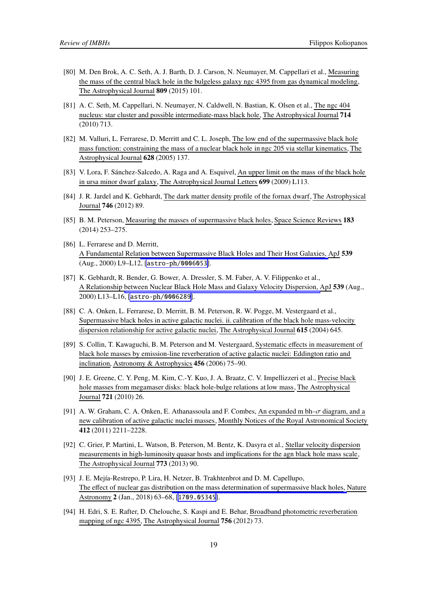- <span id="page-19-0"></span>[80] M. Den Brok, A. C. Seth, A. J. Barth, D. J. Carson, N. Neumayer, M. Cappellari et al., Measuring the mass of the central black hole in the bulgeless galaxy ngc 4395 from gas dynamical modeling, The Astrophysical Journal 809 (2015) 101.
- [81] A. C. Seth, M. Cappellari, N. Neumayer, N. Caldwell, N. Bastian, K. Olsen et al., The ngc 404 nucleus: star cluster and possible intermediate-mass black hole, The Astrophysical Journal 714 (2010) 713.
- [82] M. Valluri, L. Ferrarese, D. Merritt and C. L. Joseph, The low end of the supermassive black hole mass function: constraining the mass of a nuclear black hole in ngc 205 via stellar kinematics, The Astrophysical Journal 628 (2005) 137.
- [83] V. Lora, F. Sánchez-Salcedo, A. Raga and A. Esquivel, An upper limit on the mass of the black hole in ursa minor dwarf galaxy, The Astrophysical Journal Letters 699 (2009) L113.
- [84] J. R. Jardel and K. Gebhardt, The dark matter density profile of the fornax dwarf, The Astrophysical Journal 746 (2012) 89.
- [85] B. M. Peterson, Measuring the masses of supermassive black holes, Space Science Reviews 183 (2014) 253–275.
- [86] L. Ferrarese and D. Merritt, A Fundamental Relation between Supermassive Black Holes and Their Host Galaxies, ApJ 539 (Aug., 2000) L9–L12, [[astro-ph/0006053](https://arxiv.org/abs/astro-ph/0006053)].
- [87] K. Gebhardt, R. Bender, G. Bower, A. Dressler, S. M. Faber, A. V. Filippenko et al., A Relationship between Nuclear Black Hole Mass and Galaxy Velocity Dispersion, ApJ 539 (Aug., 2000) L13–L16, [[astro-ph/0006289](https://arxiv.org/abs/astro-ph/0006289)].
- [88] C. A. Onken, L. Ferrarese, D. Merritt, B. M. Peterson, R. W. Pogge, M. Vestergaard et al., Supermassive black holes in active galactic nuclei. ii. calibration of the black hole mass-velocity dispersion relationship for active galactic nuclei, The Astrophysical Journal 615 (2004) 645.
- [89] S. Collin, T. Kawaguchi, B. M. Peterson and M. Vestergaard, Systematic effects in measurement of black hole masses by emission-line reverberation of active galactic nuclei: Eddington ratio and inclination, Astronomy & Astrophysics 456 (2006) 75–90.
- [90] J. E. Greene, C. Y. Peng, M. Kim, C.-Y. Kuo, J. A. Braatz, C. V. Impellizzeri et al., Precise black hole masses from megamaser disks: black hole-bulge relations at low mass, The Astrophysical Journal 721 (2010) 26.
- [91] A. W. Graham, C. A. Onken, E. Athanassoula and F. Combes, An expanded m bh- $\sigma$  diagram, and a new calibration of active galactic nuclei masses, Monthly Notices of the Royal Astronomical Society 412 (2011) 2211–2228.
- [92] C. Grier, P. Martini, L. Watson, B. Peterson, M. Bentz, K. Dasyra et al., Stellar velocity dispersion measurements in high-luminosity quasar hosts and implications for the agn black hole mass scale, The Astrophysical Journal 773 (2013) 90.
- [93] J. E. Mejía-Restrepo, P. Lira, H. Netzer, B. Trakhtenbrot and D. M. Capellupo, The effect of nuclear gas distribution on the mass determination of supermassive black holes, Nature Astronomy 2 (Jan., 2018) 63–68, [[1709.05345](https://arxiv.org/abs/1709.05345)].
- [94] H. Edri, S. E. Rafter, D. Chelouche, S. Kaspi and E. Behar, Broadband photometric reverberation mapping of ngc 4395, The Astrophysical Journal 756 (2012) 73.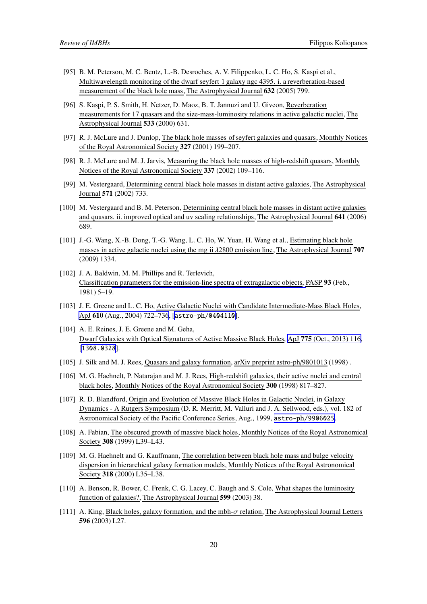- <span id="page-20-0"></span>[95] B. M. Peterson, M. C. Bentz, L.-B. Desroches, A. V. Filippenko, L. C. Ho, S. Kaspi et al., Multiwavelength monitoring of the dwarf seyfert 1 galaxy ngc 4395. i. a reverberation-based measurement of the black hole mass, The Astrophysical Journal 632 (2005) 799.
- [96] S. Kaspi, P. S. Smith, H. Netzer, D. Maoz, B. T. Jannuzi and U. Giveon, Reverberation measurements for 17 quasars and the size-mass-luminosity relations in active galactic nuclei, The Astrophysical Journal 533 (2000) 631.
- [97] R. J. McLure and J. Dunlop, The black hole masses of seyfert galaxies and quasars, Monthly Notices of the Royal Astronomical Society 327 (2001) 199–207.
- [98] R. J. McLure and M. J. Jarvis, Measuring the black hole masses of high-redshift quasars, Monthly Notices of the Royal Astronomical Society 337 (2002) 109–116.
- [99] M. Vestergaard, Determining central black hole masses in distant active galaxies, The Astrophysical Journal 571 (2002) 733.
- [100] M. Vestergaard and B. M. Peterson, Determining central black hole masses in distant active galaxies and quasars. ii. improved optical and uv scaling relationships, The Astrophysical Journal 641 (2006) 689.
- [101] J.-G. Wang, X.-B. Dong, T.-G. Wang, L. C. Ho, W. Yuan, H. Wang et al., Estimating black hole masses in active galactic nuclei using the mg ii λ2800 emission line, The Astrophysical Journal 707 (2009) 1334.
- [102] J. A. Baldwin, M. M. Phillips and R. Terlevich, Classification parameters for the emission-line spectra of extragalactic objects, PASP 93 (Feb., 1981) 5–19.
- [103] J. E. Greene and L. C. Ho, Active Galactic Nuclei with Candidate Intermediate-Mass Black Holes, ApJ 610 [\(Aug., 2004\) 722–736](https://doi.org/10.1086/421719), [[astro-ph/0404110](https://arxiv.org/abs/astro-ph/0404110)].
- [104] A. E. Reines, J. E. Greene and M. Geha, Dwarf Galaxies with Optical Signatures of Active Massive Black Holes, ApJ 775 [\(Oct., 2013\) 116,](https://doi.org/10.1088/0004-637X/775/2/116) [[1308.0328](https://arxiv.org/abs/1308.0328)].
- [105] J. Silk and M. J. Rees, Quasars and galaxy formation, arXiv preprint astro-ph/9801013 (1998) .
- [106] M. G. Haehnelt, P. Natarajan and M. J. Rees, High-redshift galaxies, their active nuclei and central black holes, Monthly Notices of the Royal Astronomical Society 300 (1998) 817–827.
- [107] R. D. Blandford, Origin and Evolution of Massive Black Holes in Galactic Nuclei, in Galaxy Dynamics - A Rutgers Symposium (D. R. Merritt, M. Valluri and J. A. Sellwood, eds.), vol. 182 of Astronomical Society of the Pacific Conference Series, Aug., 1999, [astro-ph/9906025](https://arxiv.org/abs/astro-ph/9906025).
- [108] A. Fabian, The obscured growth of massive black holes, Monthly Notices of the Royal Astronomical Society 308 (1999) L39–L43.
- [109] M. G. Haehnelt and G. Kauffmann, The correlation between black hole mass and bulge velocity dispersion in hierarchical galaxy formation models, Monthly Notices of the Royal Astronomical Society 318 (2000) L35–L38.
- [110] A. Benson, R. Bower, C. Frenk, C. G. Lacey, C. Baugh and S. Cole, What shapes the luminosity function of galaxies?, The Astrophysical Journal 599 (2003) 38.
- [111] A. King, Black holes, galaxy formation, and the mbh-σ relation, The Astrophysical Journal Letters 596 (2003) L27.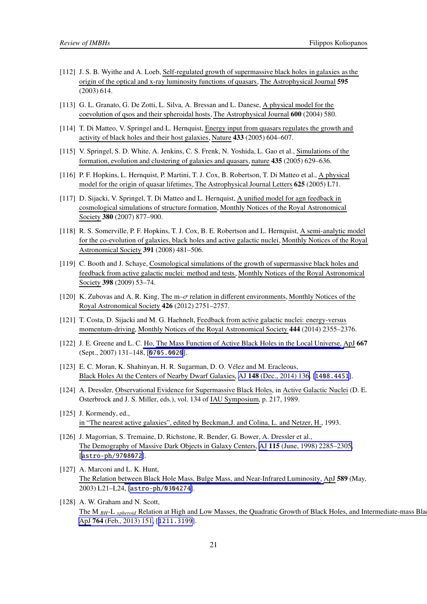- <span id="page-21-0"></span>[112] J. S. B. Wyithe and A. Loeb, Self-regulated growth of supermassive black holes in galaxies asthe origin of the optical and x-ray luminosity functions of quasars, The Astrophysical Journal 595 (2003) 614.
- [113] G. L. Granato, G. De Zotti, L. Silva, A. Bressan and L. Danese, A physical model for the coevolution of qsos and their spheroidal hosts, The Astrophysical Journal 600 (2004) 580.
- [114] T. Di Matteo, V. Springel and L. Hernquist, Energy input from quasars regulates the growth and activity of black holes and their host galaxies, Nature 433 (2005) 604–607.
- [115] V. Springel, S. D. White, A. Jenkins, C. S. Frenk, N. Yoshida, L. Gao et al., Simulations of the formation, evolution and clustering of galaxies and quasars, nature 435 (2005) 629–636.
- [116] P. F. Hopkins, L. Hernquist, P. Martini, T. J. Cox, B. Robertson, T. Di Matteo et al., A physical model for the origin of quasar lifetimes, The Astrophysical Journal Letters 625 (2005) L71.
- [117] D. Sijacki, V. Springel, T. Di Matteo and L. Hernquist, A unified model for agn feedback in cosmological simulations of structure formation, Monthly Notices of the Royal Astronomical Society 380 (2007) 877–900.
- [118] R. S. Somerville, P. F. Hopkins, T. J. Cox, B. E. Robertson and L. Hernquist, A semi-analytic model for the co-evolution of galaxies, black holes and active galactic nuclei, Monthly Notices of the Royal Astronomical Society 391 (2008) 481–506.
- [119] C. Booth and J. Schaye, Cosmological simulations of the growth of supermassive black holes and feedback from active galactic nuclei: method and tests, Monthly Notices of the Royal Astronomical Society 398 (2009) 53–74.
- [120] K. Zubovas and A. R. King, The m–σ relation in different environments, Monthly Notices of the Royal Astronomical Society 426 (2012) 2751–2757.
- [121] T. Costa, D. Sijacki and M. G. Haehnelt, Feedback from active galactic nuclei: energy-versus momentum-driving, Monthly Notices of the Royal Astronomical Society 444 (2014) 2355–2376.
- [122] J. E. Greene and L. C. Ho, The Mass Function of Active Black Holes in the Local Universe, ApJ 667 (Sept., 2007) 131–148, [[0705.0020](https://arxiv.org/abs/0705.0020)].
- [123] E. C. Moran, K. Shahinyan, H. R. Sugarman, D. O. Vélez and M. Eracleous, Black Holes At the Centers of Nearby Dwarf Galaxies, AJ 148 [\(Dec., 2014\) 136,](https://doi.org/10.1088/0004-6256/148/6/136) [[1408.4451](https://arxiv.org/abs/1408.4451)].
- [124] A. Dressler, Observational Evidence for Supermassive Black Holes, in Active Galactic Nuclei (D. E. Osterbrock and J. S. Miller, eds.), vol. 134 of IAU Symposium, p. 217, 1989.
- [125] J. Kormendy, ed., in "The nearest active galaxies", edited by Beckman,J. and Colina, L. and Netzer, H., 1993.
- [126] J. Magorrian, S. Tremaine, D. Richstone, R. Bender, G. Bower, A. Dressler et al., The Demography of Massive Dark Objects in Galaxy Centers, AJ 115 [\(June, 1998\) 2285–2305,](https://doi.org/10.1086/300353) [[astro-ph/9708072](https://arxiv.org/abs/astro-ph/9708072)].
- [127] A. Marconi and L. K. Hunt, The Relation between Black Hole Mass, Bulge Mass, and Near-Infrared Luminosity, ApJ 589 (May, 2003) L21–L24, [[astro-ph/0304274](https://arxiv.org/abs/astro-ph/0304274)].
- [128] A. W. Graham and N. Scott, The M <sub>BH</sub>-L <sub>spheroid</sub> Relation at High and Low Masses, the Quadratic Growth of Black Holes, and Intermediate-mass Black ApJ 764 [\(Feb., 2013\) 151,](https://doi.org/10.1088/0004-637X/764/2/151) [[1211.3199](https://arxiv.org/abs/1211.3199)].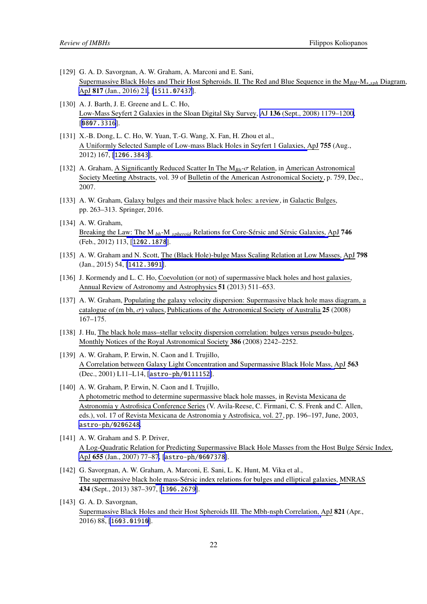- <span id="page-22-0"></span>[129] G. A. D. Savorgnan, A. W. Graham, A. Marconi and E. Sani, Supermassive Black Holes and Their Host Spheroids. II. The Red and Blue Sequence in the M*BH*-M∗,*sph* Diagram, ApJ 817 [\(Jan., 2016\) 21](https://doi.org/10.3847/0004-637X/817/1/21), [[1511.07437](https://arxiv.org/abs/1511.07437)].
- [130] A. J. Barth, J. E. Greene and L. C. Ho, Low-Mass Seyfert 2 Galaxies in the Sloan Digital Sky Survey, AJ 136 [\(Sept., 2008\) 1179–1200,](https://doi.org/10.1088/0004-6256/136/3/1179) [[0807.3316](https://arxiv.org/abs/0807.3316)].
- [131] X.-B. Dong, L. C. Ho, W. Yuan, T.-G. Wang, X. Fan, H. Zhou et al., A Uniformly Selected Sample of Low-mass Black Holes in Seyfert 1 Galaxies, ApJ 755 (Aug., 2012) 167, [[1206.3843](https://arxiv.org/abs/1206.3843)].
- [132] A. Graham, A Significantly Reduced Scatter In The M*Bh*-σ Relation, in American Astronomical Society Meeting Abstracts, vol. 39 of Bulletin of the American Astronomical Society, p. 759, Dec., 2007.
- [133] A. W. Graham, Galaxy bulges and their massive black holes: a review, in Galactic Bulges, pp. 263–313. Springer, 2016.
- [134] A. W. Graham, Breaking the Law: The M *bh*-M *[spheroid](https://doi.org/10.1088/0004-637X/746/1/113)* Relations for Core-Sérsic and Sérsic Galaxies, ApJ 746 (Feb., 2012) 113, [[1202.1878](https://arxiv.org/abs/1202.1878)].
- [135] A. W. Graham and N. Scott, The (Black Hole)-bulge Mass Scaling Relation at Low Masses, ApJ 798 (Jan., 2015) 54, [[1412.3091](https://arxiv.org/abs/1412.3091)].
- [136] J. Kormendy and L. C. Ho, Coevolution (or not) of supermassive black holes and host galaxies, Annual Review of Astronomy and Astrophysics 51 (2013) 511–653.
- [137] A. W. Graham, Populating the galaxy velocity dispersion: Supermassive black hole mass diagram, a catalogue of (m bh,  $\sigma$ ) values, Publications of the Astronomical Society of Australia 25 (2008) 167–175.
- [138] J. Hu, The black hole mass-stellar velocity dispersion correlation: bulges versus pseudo-bulges, Monthly Notices of the Royal Astronomical Society 386 (2008) 2242–2252.
- [139] A. W. Graham, P. Erwin, N. Caon and I. Trujillo, A Correlation between Galaxy Light Concentration and Supermassive Black Hole Mass, ApJ 563 (Dec., 2001) L11–L14, [[astro-ph/0111152](https://arxiv.org/abs/astro-ph/0111152)].
- [140] A. W. Graham, P. Erwin, N. Caon and I. Trujillo, A photometric method to determine supermassive black hole masses, in Revista Mexicana de Astronomia y Astrofisica Conference Series (V. Avila-Reese, C. Firmani, C. S. Frenk and C. Allen, eds.), vol. 17 of Revista Mexicana de Astronomia y Astrofisica, vol. 27, pp. 196–197, June, 2003, [astro-ph/0206248](https://arxiv.org/abs/astro-ph/0206248).
- [141] A. W. Graham and S. P. Driver, A Log-Quadratic Relation for Predicting Supermassive Black Hole Masses from the Host Bulge Sérsic Index, ApJ 655 [\(Jan., 2007\) 77–87](https://doi.org/10.1086/509758), [[astro-ph/0607378](https://arxiv.org/abs/astro-ph/0607378)].
- [142] G. Savorgnan, A. W. Graham, A. Marconi, E. Sani, L. K. Hunt, M. Vika et al., The supermassive black hole mass-Sérsic index relations for bulges and elliptical galaxies, MNRAS 434 (Sept., 2013) 387–397, [[1306.2679](https://arxiv.org/abs/1306.2679)].
- [143] G. A. D. Savorgnan, Supermassive Black Holes and their Host Spheroids III. The Mbh-nsph Correlation, ApJ 821 (Apr., 2016) 88, [[1603.01910](https://arxiv.org/abs/1603.01910)].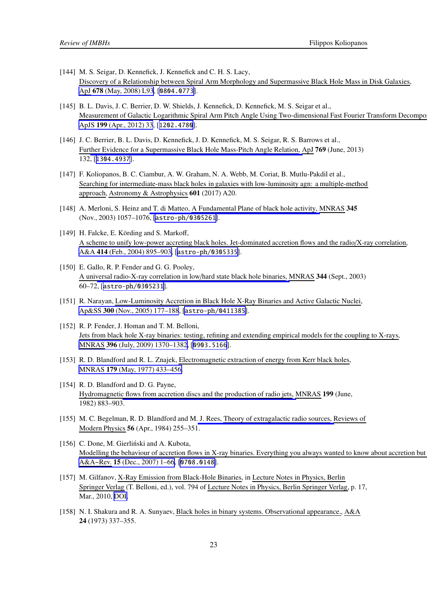- <span id="page-23-0"></span>[144] M. S. Seigar, D. Kennefick, J. Kennefick and C. H. S. Lacy, Discovery of a Relationship between Spiral Arm Morphology and Supermassive Black Hole Mass in Disk Galaxies, ApJ 678 [\(May, 2008\) L93](https://doi.org/10.1086/588727), [[0804.0773](https://arxiv.org/abs/0804.0773)].
- [145] B. L. Davis, J. C. Berrier, D. W. Shields, J. Kennefick, D. Kennefick, M. S. Seigar et al., Measurement of Galactic Logarithmic Spiral Arm Pitch Angle Using Two-dimensional Fast Fourier Transform Decompo ApJS 199 [\(Apr., 2012\) 33](https://doi.org/10.1088/0067-0049/199/2/33), [[1202.4780](https://arxiv.org/abs/1202.4780)].
- [146] J. C. Berrier, B. L. Davis, D. Kennefick, J. D. Kennefick, M. S. Seigar, R. S. Barrows et al., Further Evidence for a Supermassive Black Hole Mass-Pitch Angle Relation, ApJ 769 (June, 2013) 132, [[1304.4937](https://arxiv.org/abs/1304.4937)].
- [147] F. Koliopanos, B. C. Ciambur, A. W. Graham, N. A. Webb, M. Coriat, B. Mutlu-Pakdil et al., Searching for intermediate-mass black holes in galaxies with low-luminosity agn: a multiple-method approach, Astronomy & Astrophysics 601 (2017) A20.
- [148] A. Merloni, S. Heinz and T. di Matteo, A Fundamental Plane of black hole activity, MNRAS 345 (Nov., 2003) 1057–1076, [[astro-ph/0305261](https://arxiv.org/abs/astro-ph/0305261)].
- [149] H. Falcke, E. Körding and S. Markoff, A scheme to unify low-power accreting black holes. Jet-dominated accretion flows and the radio/X-ray correlation, A&A 414 [\(Feb., 2004\) 895–903,](https://doi.org/10.1051/0004-6361:20031683) [[astro-ph/0305335](https://arxiv.org/abs/astro-ph/0305335)].
- [150] E. Gallo, R. P. Fender and G. G. Pooley, A universal radio-X-ray correlation in low/hard state black hole binaries, MNRAS 344 (Sept., 2003) 60–72, [[astro-ph/0305231](https://arxiv.org/abs/astro-ph/0305231)].
- [151] R. Narayan, Low-Luminosity Accretion in Black Hole X-Ray Binaries and Active Galactic Nuclei, Ap&SS 300 [\(Nov., 2005\) 177–188](https://doi.org/10.1007/s10509-005-1178-7), [[astro-ph/0411385](https://arxiv.org/abs/astro-ph/0411385)].
- [152] R. P. Fender, J. Homan and T. M. Belloni, Jets from black hole X-ray binaries: testing, refining and extending empirical models for the coupling to X-rays, MNRAS 396 [\(July, 2009\) 1370–1382,](https://doi.org/10.1111/j.1365-2966.2009.14841.x) [[0903.5166](https://arxiv.org/abs/0903.5166)].
- [153] R. D. Blandford and R. L. Znajek, Electromagnetic extraction of energy from Kerr black holes, MNRAS 179 [\(May, 1977\) 433–456.](https://doi.org/10.1093/mnras/179.3.433)
- [154] R. D. Blandford and D. G. Payne, Hydromagnetic flows from accretion discs and the production of radio jets, MNRAS 199 (June, 1982) 883–903.
- [155] M. C. Begelman, R. D. Blandford and M. J. Rees, Theory of extragalactic radio sources, Reviews of Modern Physics 56 (Apr., 1984) 255–351.
- [156] C. Done, M. Gierliński and A. Kubota, Modelling the behaviour of accretion flows in X-ray binaries. Everything you always wanted to know about accretion but A&A~Rev. 15 [\(Dec., 2007\) 1–66](https://doi.org/10.1007/s00159-007-0006-1), [[0708.0148](https://arxiv.org/abs/0708.0148)].
- [157] M. Gilfanov, X-Ray Emission from Black-Hole Binaries, in Lecture Notes in Physics, Berlin Springer Verlag (T. Belloni, ed.), vol. 794 of Lecture Notes in Physics, Berlin Springer Verlag, p. 17, Mar., 2010, [DOI.](https://doi.org/10.1007/978-3-540-76937-8_2)
- [158] N. I. Shakura and R. A. Sunyaev, Black holes in binary systems. Observational appearance., A&A 24 (1973) 337–355.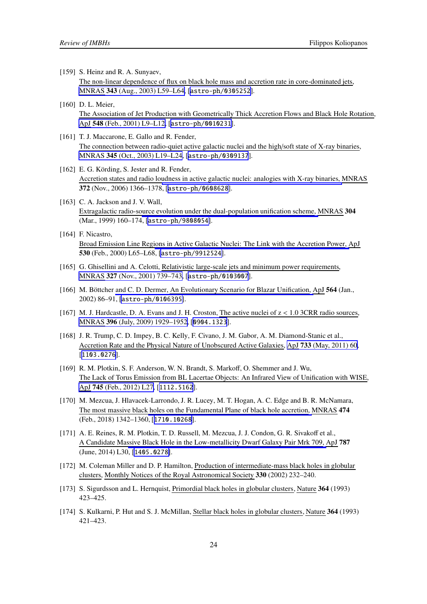<span id="page-24-0"></span>[159] S. Heinz and R. A. Sunyaev,

The non-linear dependence of flux on black hole mass and accretion rate in core-dominated jets, MNRAS 343 [\(Aug., 2003\) L59–L64,](https://doi.org/10.1046/j.1365-8711.2003.06918.x) [[astro-ph/0305252](https://arxiv.org/abs/astro-ph/0305252)].

- [160] D. L. Meier, The Association of Jet Production with Geometrically Thick Accretion Flows and Black Hole Rotation, ApJ 548 [\(Feb., 2001\) L9–L12,](https://doi.org/10.1086/318921) [[astro-ph/0010231](https://arxiv.org/abs/astro-ph/0010231)].
- [161] T. J. Maccarone, E. Gallo and R. Fender, The connection between radio-quiet active galactic nuclei and the high/soft state of X-ray binaries, MNRAS 345 [\(Oct., 2003\) L19–L24](https://doi.org/10.1046/j.1365-8711.2003.07161.x), [[astro-ph/0309137](https://arxiv.org/abs/astro-ph/0309137)].
- [162] E. G. Körding, S. Jester and R. Fender, Accretion states and radio loudness in active galactic nuclei: analogies with X-ray binaries, MNRAS 372 (Nov., 2006) 1366–1378, [[astro-ph/0608628](https://arxiv.org/abs/astro-ph/0608628)].
- [163] C. A. Jackson and J. V. Wall, Extragalactic radio-source evolution under the dual-population unification scheme, MNRAS 304 (Mar., 1999) 160–174, [[astro-ph/9808054](https://arxiv.org/abs/astro-ph/9808054)].
- [164] F. Nicastro, Broad Emission Line Regions in Active Galactic Nuclei: The Link with the Accretion Power, ApJ 530 (Feb., 2000) L65–L68, [[astro-ph/9912524](https://arxiv.org/abs/astro-ph/9912524)].
- [165] G. Ghisellini and A. Celotti, Relativistic large-scale jets and minimum power requirements, MNRAS 327 [\(Nov., 2001\) 739–743,](https://doi.org/10.1046/j.1365-8711.2001.04700.x) [[astro-ph/0103007](https://arxiv.org/abs/astro-ph/0103007)].
- [166] M. Böttcher and C. D. Dermer, An Evolutionary Scenario for Blazar Unification, ApJ 564 (Jan., 2002) 86–91, [[astro-ph/0106395](https://arxiv.org/abs/astro-ph/0106395)].
- [167] M. J. Hardcastle, D. A. Evans and J. H. Croston, The active nuclei of  $z < 1.0$  3CRR radio sources, MNRAS 396 [\(July, 2009\) 1929–1952,](https://doi.org/10.1111/j.1365-2966.2009.14887.x) [[0904.1323](https://arxiv.org/abs/0904.1323)].
- [168] J. R. Trump, C. D. Impey, B. C. Kelly, F. Civano, J. M. Gabor, A. M. Diamond-Stanic et al., Accretion Rate and the Physical Nature of Unobscured Active Galaxies, ApJ 733 [\(May, 2011\) 60,](https://doi.org/10.1088/0004-637X/733/1/60) [[1103.0276](https://arxiv.org/abs/1103.0276)].
- [169] R. M. Plotkin, S. F. Anderson, W. N. Brandt, S. Markoff, O. Shemmer and J. Wu, The Lack of Torus Emission from BL Lacertae Objects: An Infrared View of Unification with WISE, ApJ 745 [\(Feb., 2012\) L27,](https://doi.org/10.1088/2041-8205/745/2/L27) [[1112.5162](https://arxiv.org/abs/1112.5162)].
- [170] M. Mezcua, J. Hlavacek-Larrondo, J. R. Lucey, M. T. Hogan, A. C. Edge and B. R. McNamara, The most massive black holes on the Fundamental Plane of black hole accretion, MNRAS 474 (Feb., 2018) 1342–1360, [[1710.10268](https://arxiv.org/abs/1710.10268)].
- [171] A. E. Reines, R. M. Plotkin, T. D. Russell, M. Mezcua, J. J. Condon, G. R. Sivakoff et al., A Candidate Massive Black Hole in the Low-metallicity Dwarf Galaxy Pair Mrk 709, ApJ 787 (June, 2014) L30, [[1405.0278](https://arxiv.org/abs/1405.0278)].
- [172] M. Coleman Miller and D. P. Hamilton, Production of intermediate-mass black holes in globular clusters, Monthly Notices of the Royal Astronomical Society 330 (2002) 232–240.
- [173] S. Sigurdsson and L. Hernquist, Primordial black holes in globular clusters, Nature 364 (1993) 423–425.
- [174] S. Kulkarni, P. Hut and S. J. McMillan, Stellar black holes in globular clusters, Nature 364 (1993) 421–423.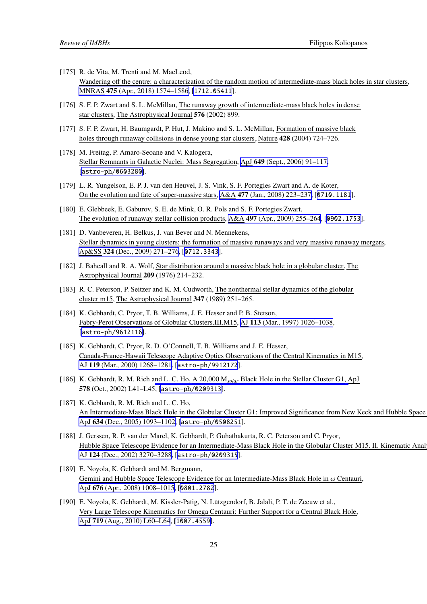- <span id="page-25-0"></span>[175] R. de Vita, M. Trenti and M. MacLeod, Wandering off the centre: a characterization of the random motion of intermediate-mass black holes in star clusters, MNRAS 475 [\(Apr., 2018\) 1574–1586,](https://doi.org/10.1093/mnras/stx3261) [[1712.05411](https://arxiv.org/abs/1712.05411)].
- [176] S. F. P. Zwart and S. L. McMillan, The runaway growth of intermediate-mass black holes in dense star clusters, The Astrophysical Journal 576 (2002) 899.
- [177] S. F. P. Zwart, H. Baumgardt, P. Hut, J. Makino and S. L. McMillan, Formation of massive black holes through runaway collisions in dense young star clusters, Nature 428 (2004) 724–726.
- [178] M. Freitag, P. Amaro-Seoane and V. Kalogera, Stellar Remnants in Galactic Nuclei: Mass Segregation, ApJ 649 [\(Sept., 2006\) 91–117,](https://doi.org/10.1086/506193) [[astro-ph/0603280](https://arxiv.org/abs/astro-ph/0603280)].
- [179] L. R. Yungelson, E. P. J. van den Heuvel, J. S. Vink, S. F. Portegies Zwart and A. de Koter, On the evolution and fate of super-massive stars, A&A 477 [\(Jan., 2008\) 223–237,](https://doi.org/10.1051/0004-6361:20078345) [[0710.1181](https://arxiv.org/abs/0710.1181)].
- [180] E. Glebbeek, E. Gaburov, S. E. de Mink, O. R. Pols and S. F. Portegies Zwart, The evolution of runaway stellar collision products, A&A 497 [\(Apr., 2009\) 255–264](https://doi.org/10.1051/0004-6361/200810425), [[0902.1753](https://arxiv.org/abs/0902.1753)].
- [181] D. Vanbeveren, H. Belkus, J. van Bever and N. Mennekens, Stellar dynamics in young clusters: the formation of massive runaways and very massive runaway mergers, Ap&SS 324 [\(Dec., 2009\) 271–276](https://doi.org/10.1007/s10509-009-0134-3), [[0712.3343](https://arxiv.org/abs/0712.3343)].
- [182] J. Bahcall and R. A. Wolf, Star distribution around a massive black hole in a globular cluster, The Astrophysical Journal 209 (1976) 214–232.
- [183] R. C. Peterson, P. Seitzer and K. M. Cudworth, The nonthermal stellar dynamics of the globular cluster m15, The Astrophysical Journal 347 (1989) 251–265.
- [184] K. Gebhardt, C. Pryor, T. B. Williams, J. E. Hesser and P. B. Stetson, Fabry-Perot Observations of Globular Clusters.III.M15, AJ 113 [\(Mar., 1997\) 1026–1038,](https://doi.org/10.1086/118319) [[astro-ph/9612116](https://arxiv.org/abs/astro-ph/9612116)].
- [185] K. Gebhardt, C. Pryor, R. D. O'Connell, T. B. Williams and J. E. Hesser, Canada-France-Hawaii Telescope Adaptive Optics Observations of the Central Kinematics in M15, AJ 119 [\(Mar., 2000\) 1268–1281](https://doi.org/10.1086/301275), [[astro-ph/9912172](https://arxiv.org/abs/astro-ph/9912172)].
- [186] K. Gebhardt, R. M. Rich and L. C. Ho, A 20,000 M*[solar](https://doi.org/10.1086/342980)* Black Hole in the Stellar Cluster G1, ApJ 578 (Oct., 2002) L41–L45, [[astro-ph/0209313](https://arxiv.org/abs/astro-ph/0209313)].
- [187] K. Gebhardt, R. M. Rich and L. C. Ho, An Intermediate-Mass Black Hole in the Globular Cluster G1: Improved Significance from New Keck and Hubble Space ApJ 634 [\(Dec., 2005\) 1093–1102](https://doi.org/10.1086/497023), [[astro-ph/0508251](https://arxiv.org/abs/astro-ph/0508251)].
- [188] J. Gerssen, R. P. van der Marel, K. Gebhardt, P. Guhathakurta, R. C. Peterson and C. Pryor, Hubble Space Telescope Evidence for an Intermediate-Mass Black Hole in the Globular Cluster M15. II. Kinematic Anal AJ 124 [\(Dec., 2002\) 3270–3288](https://doi.org/10.1086/344584), [[astro-ph/0209315](https://arxiv.org/abs/astro-ph/0209315)].
- [189] E. Noyola, K. Gebhardt and M. Bergmann, Gemini and Hubble Space Telescope Evidence for an Intermediate-Mass Black Hole in  $\omega$  Centauri, ApJ 676 [\(Apr., 2008\) 1008–1015](https://doi.org/10.1086/529002), [[0801.2782](https://arxiv.org/abs/0801.2782)].
- [190] E. Noyola, K. Gebhardt, M. Kissler-Patig, N. Lützgendorf, B. Jalali, P. T. de Zeeuw et al., Very Large Telescope Kinematics for Omega Centauri: Further Support for a Central Black Hole, ApJ 719 [\(Aug., 2010\) L60–L64](https://doi.org/10.1088/2041-8205/719/1/L60), [[1007.4559](https://arxiv.org/abs/1007.4559)].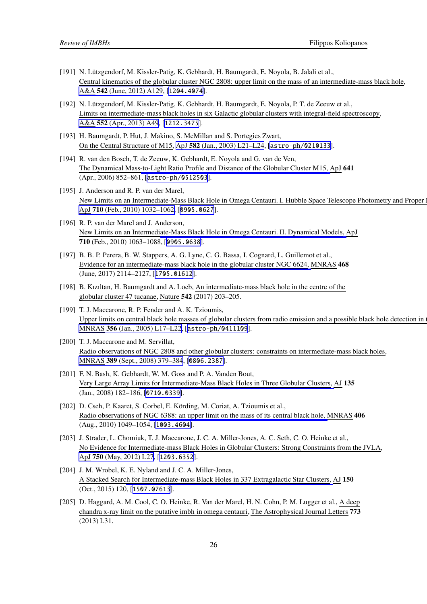- <span id="page-26-0"></span>[191] N. Lützgendorf, M. Kissler-Patig, K. Gebhardt, H. Baumgardt, E. Noyola, B. Jalali et al., Central kinematics of the globular cluster NGC 2808: upper limit on the mass of an intermediate-mass black hole, A&A 542 [\(June, 2012\) A129](https://doi.org/10.1051/0004-6361/201219375), [[1204.4074](https://arxiv.org/abs/1204.4074)].
- [192] N. Lützgendorf, M. Kissler-Patig, K. Gebhardt, H. Baumgardt, E. Noyola, P. T. de Zeeuw et al., Limits on intermediate-mass black holes in six Galactic globular clusters with integral-field spectroscopy, A&A 552 [\(Apr., 2013\) A49](https://doi.org/10.1051/0004-6361/201220307), [[1212.3475](https://arxiv.org/abs/1212.3475)].
- [193] H. Baumgardt, P. Hut, J. Makino, S. McMillan and S. Portegies Zwart, On the Central Structure of M15, ApJ 582 [\(Jan., 2003\) L21–L24](https://doi.org/10.1086/367537), [[astro-ph/0210133](https://arxiv.org/abs/astro-ph/0210133)].
- [194] R. van den Bosch, T. de Zeeuw, K. Gebhardt, E. Noyola and G. van de Ven, The Dynamical Mass-to-Light Ratio Profile and Distance of the Globular Cluster M15, ApJ 641 (Apr., 2006) 852–861, [[astro-ph/0512503](https://arxiv.org/abs/astro-ph/0512503)].
- [195] J. Anderson and R. P. van der Marel, New Limits on an Intermediate-Mass Black Hole in Omega Centauri. I. Hubble Space Telescope Photometry and Proper ApJ 710 [\(Feb., 2010\) 1032–1062,](https://doi.org/10.1088/0004-637X/710/2/1032) [[0905.0627](https://arxiv.org/abs/0905.0627)].
- [196] R. P. van der Marel and J. Anderson, New Limits on an Intermediate-Mass Black Hole in Omega Centauri. II. Dynamical Models, ApJ 710 (Feb., 2010) 1063–1088, [[0905.0638](https://arxiv.org/abs/0905.0638)].
- [197] B. B. P. Perera, B. W. Stappers, A. G. Lyne, C. G. Bassa, I. Cognard, L. Guillemot et al., Evidence for an intermediate-mass black hole in the globular cluster NGC 6624, MNRAS 468 (June, 2017) 2114–2127, [[1705.01612](https://arxiv.org/abs/1705.01612)].
- [198] B. Kızıltan, H. Baumgardt and A. Loeb, An intermediate-mass black hole in the centre of the globular cluster 47 tucanae, Nature 542 (2017) 203–205.
- [199] T. J. Maccarone, R. P. Fender and A. K. Tzioumis, Upper limits on central black hole masses of globular clusters from radio emission and a possible black hole detection in MNRAS 356 [\(Jan., 2005\) L17–L22,](https://doi.org/10.1111/j.1745-3933.2005.08584.x) [[astro-ph/0411109](https://arxiv.org/abs/astro-ph/0411109)].
- [200] T. J. Maccarone and M. Servillat, Radio observations of NGC 2808 and other globular clusters: constraints on intermediate-mass black holes, MNRAS 389 [\(Sept., 2008\) 379–384](https://doi.org/10.1111/j.1365-2966.2008.13577.x), [[0806.2387](https://arxiv.org/abs/0806.2387)].
- [201] F. N. Bash, K. Gebhardt, W. M. Goss and P. A. Vanden Bout, Very Large Array Limits for Intermediate-Mass Black Holes in Three Globular Clusters, AJ 135 (Jan., 2008) 182–186, [[0710.0339](https://arxiv.org/abs/0710.0339)].
- [202] D. Cseh, P. Kaaret, S. Corbel, E. Körding, M. Coriat, A. Tzioumis et al., Radio observations of NGC 6388: an upper limit on the mass of its central black hole, MNRAS 406 (Aug., 2010) 1049–1054, [[1003.4604](https://arxiv.org/abs/1003.4604)].
- [203] J. Strader, L. Chomiuk, T. J. Maccarone, J. C. A. Miller-Jones, A. C. Seth, C. O. Heinke et al., No Evidence for Intermediate-mass Black Holes in Globular Clusters: Strong Constraints from the JVLA, ApJ 750 [\(May, 2012\) L27](https://doi.org/10.1088/2041-8205/750/2/L27), [[1203.6352](https://arxiv.org/abs/1203.6352)].
- [204] J. M. Wrobel, K. E. Nyland and J. C. A. Miller-Jones, A Stacked Search for Intermediate-mass Black Holes in 337 Extragalactic Star Clusters, AJ 150 (Oct., 2015) 120, [[1507.07613](https://arxiv.org/abs/1507.07613)].
- [205] D. Haggard, A. M. Cool, C. O. Heinke, R. Van der Marel, H. N. Cohn, P. M. Lugger et al., A deep chandra x-ray limit on the putative imbh in omega centauri, The Astrophysical Journal Letters 773 (2013) L31.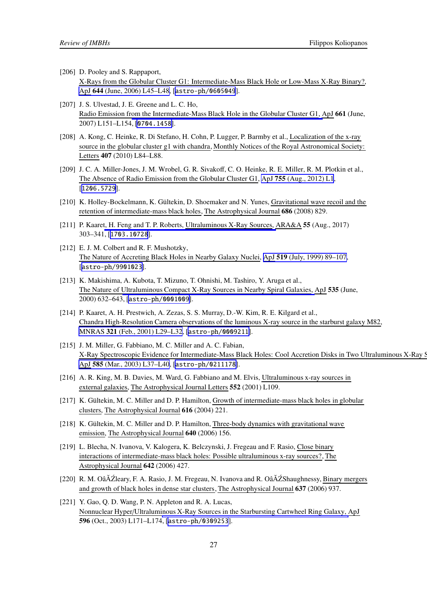- <span id="page-27-0"></span>[206] D. Pooley and S. Rappaport, X-Rays from the Globular Cluster G1: Intermediate-Mass Black Hole or Low-Mass X-Ray Binary?, ApJ 644 [\(June, 2006\) L45–L48](https://doi.org/10.1086/505344), [[astro-ph/0605049](https://arxiv.org/abs/astro-ph/0605049)].
- [207] J. S. Ulvestad, J. E. Greene and L. C. Ho, Radio Emission from the Intermediate-Mass Black Hole in the Globular Cluster G1, ApJ 661 (June, 2007) L151–L154, [[0704.1458](https://arxiv.org/abs/0704.1458)].
- [208] A. Kong, C. Heinke, R. Di Stefano, H. Cohn, P. Lugger, P. Barmby et al., Localization of the x-ray source in the globular cluster g1 with chandra, Monthly Notices of the Royal Astronomical Society: Letters 407 (2010) L84–L88.
- [209] J. C. A. Miller-Jones, J. M. Wrobel, G. R. Sivakoff, C. O. Heinke, R. E. Miller, R. M. Plotkin et al., The Absence of Radio Emission from the Globular Cluster G1, ApJ 755 [\(Aug., 2012\) L1](https://doi.org/10.1088/2041-8205/755/1/L1), [[1206.5729](https://arxiv.org/abs/1206.5729)].
- [210] K. Holley-Bockelmann, K. Gültekin, D. Shoemaker and N. Yunes, Gravitational wave recoil and the retention of intermediate-mass black holes, The Astrophysical Journal 686 (2008) 829.
- [211] P. Kaaret, H. Feng and T. P. Roberts, Ultraluminous X-Ray Sources, ARA&A 55 (Aug., 2017) 303–341, [[1703.10728](https://arxiv.org/abs/1703.10728)].
- [212] E. J. M. Colbert and R. F. Mushotzky, The Nature of Accreting Black Holes in Nearby Galaxy Nuclei, ApJ 519 [\(July, 1999\) 89–107](https://doi.org/10.1086/307356), [[astro-ph/9901023](https://arxiv.org/abs/astro-ph/9901023)].
- [213] K. Makishima, A. Kubota, T. Mizuno, T. Ohnishi, M. Tashiro, Y. Aruga et al., The Nature of Ultraluminous Compact X-Ray Sources in Nearby Spiral Galaxies, ApJ 535 (June, 2000) 632–643, [[astro-ph/0001009](https://arxiv.org/abs/astro-ph/0001009)].
- [214] P. Kaaret, A. H. Prestwich, A. Zezas, S. S. Murray, D.-W. Kim, R. E. Kilgard et al., Chandra High-Resolution Camera observations of the luminous X-ray source in the starburst galaxy M82, MNRAS 321 [\(Feb., 2001\) L29–L32](https://doi.org/10.1046/j.1365-8711.2001.04064.x), [[astro-ph/0009211](https://arxiv.org/abs/astro-ph/0009211)].
- [215] J. M. Miller, G. Fabbiano, M. C. Miller and A. C. Fabian, X-Ray Spectroscopic Evidence for Intermediate-Mass Black Holes: Cool Accretion Disks in Two Ultraluminous X-Ray S ApJ 585 [\(Mar., 2003\) L37–L40](https://doi.org/10.1086/368373), [[astro-ph/0211178](https://arxiv.org/abs/astro-ph/0211178)].
- [216] A. R. King, M. B. Davies, M. Ward, G. Fabbiano and M. Elvis, Ultraluminous x-ray sources in external galaxies, The Astrophysical Journal Letters 552 (2001) L109.
- [217] K. Gültekin, M. C. Miller and D. P. Hamilton, Growth of intermediate-mass black holes in globular clusters, The Astrophysical Journal 616 (2004) 221.
- [218] K. Gültekin, M. C. Miller and D. P. Hamilton, Three-body dynamics with gravitational wave emission, The Astrophysical Journal 640 (2006) 156.
- [219] L. Blecha, N. Ivanova, V. Kalogera, K. Belczynski, J. Fregeau and F. Rasio, Close binary interactions of intermediate-mass black holes: Possible ultraluminous x-ray sources?, The Astrophysical Journal 642 (2006) 427.
- [220] R. M. Oâ $\Delta \tilde{Z}$ leary, F. A. Rasio, J. M. Fregeau, N. Ivanova and R. Oâ $\Delta \tilde{Z}$ Shaughnessy, Binary mergers and growth of black holes in dense star clusters, The Astrophysical Journal 637 (2006) 937.
- [221] Y. Gao, Q. D. Wang, P. N. Appleton and R. A. Lucas, Nonnuclear Hyper/Ultraluminous X-Ray Sources in the Starbursting Cartwheel Ring Galaxy, ApJ 596 (Oct., 2003) L171–L174, [[astro-ph/0309253](https://arxiv.org/abs/astro-ph/0309253)].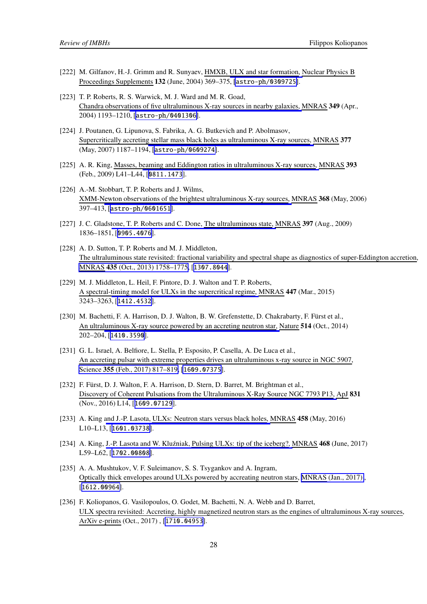- <span id="page-28-0"></span>[222] M. Gilfanov, H.-J. Grimm and R. Sunyaev, HMXB, ULX and star formation, Nuclear Physics B Proceedings Supplements 132 (June, 2004) 369–375, [[astro-ph/0309725](https://arxiv.org/abs/astro-ph/0309725)].
- [223] T. P. Roberts, R. S. Warwick, M. J. Ward and M. R. Goad, Chandra observations of five ultraluminous X-ray sources in nearby galaxies, MNRAS 349 (Apr., 2004) 1193–1210, [[astro-ph/0401306](https://arxiv.org/abs/astro-ph/0401306)].
- [224] J. Poutanen, G. Lipunova, S. Fabrika, A. G. Butkevich and P. Abolmasov, Supercritically accreting stellar mass black holes as ultraluminous X-ray sources, MNRAS 377 (May, 2007) 1187–1194, [[astro-ph/0609274](https://arxiv.org/abs/astro-ph/0609274)].
- [225] A. R. King, Masses, beaming and Eddington ratios in ultraluminous X-ray sources, MNRAS 393 (Feb., 2009) L41–L44, [[0811.1473](https://arxiv.org/abs/0811.1473)].
- [226] A.-M. Stobbart, T. P. Roberts and J. Wilms, XMM-Newton observations of the brightest ultraluminous X-ray sources, MNRAS 368 (May, 2006) 397–413, [[astro-ph/0601651](https://arxiv.org/abs/astro-ph/0601651)].
- [227] J. C. Gladstone, T. P. Roberts and C. Done, The ultraluminous state, MNRAS 397 (Aug., 2009) 1836–1851, [[0905.4076](https://arxiv.org/abs/0905.4076)].
- [228] A. D. Sutton, T. P. Roberts and M. J. Middleton, The ultraluminous state revisited: fractional variability and spectral shape as diagnostics of super-Eddington accretion, MNRAS 435 [\(Oct., 2013\) 1758–1775,](https://doi.org/10.1093/mnras/stt1419) [[1307.8044](https://arxiv.org/abs/1307.8044)].
- [229] M. J. Middleton, L. Heil, F. Pintore, D. J. Walton and T. P. Roberts, A spectral-timing model for ULXs in the supercritical regime, MNRAS 447 (Mar., 2015) 3243–3263, [[1412.4532](https://arxiv.org/abs/1412.4532)].
- [230] M. Bachetti, F. A. Harrison, D. J. Walton, B. W. Grefenstette, D. Chakrabarty, F. Fürst et al., An ultraluminous X-ray source powered by an accreting neutron star, Nature 514 (Oct., 2014) 202–204, [[1410.3590](https://arxiv.org/abs/1410.3590)].
- [231] G. L. Israel, A. Belfiore, L. Stella, P. Esposito, P. Casella, A. De Luca et al., An accreting pulsar with extreme properties drives an ultraluminous x-ray source in NGC 5907, Science 355 [\(Feb., 2017\) 817–819,](https://doi.org/10.1126/science.aai8635) [[1609.07375](https://arxiv.org/abs/1609.07375)].
- [232] F. Fürst, D. J. Walton, F. A. Harrison, D. Stern, D. Barret, M. Brightman et al., Discovery of Coherent Pulsations from the Ultraluminous X-Ray Source NGC 7793 P13, ApJ 831 (Nov., 2016) L14, [[1609.07129](https://arxiv.org/abs/1609.07129)].
- [233] A. King and J.-P. Lasota, ULXs: Neutron stars versus black holes, MNRAS 458 (May, 2016) L10–L13, [[1601.03738](https://arxiv.org/abs/1601.03738)].
- [234] A. King, J.-P. Lasota and W. Kluźniak, Pulsing ULXs: tip of the iceberg?, MNRAS 468 (June, 2017) L59–L62, [[1702.00808](https://arxiv.org/abs/1702.00808)].
- [235] A. A. Mushtukov, V. F. Suleimanov, S. S. Tsygankov and A. Ingram, Optically thick envelopes around ULXs powered by accreating neutron stars, [MNRAS \(Jan., 2017\)](https://doi.org/10.1093/mnras/stx141) , [[1612.00964](https://arxiv.org/abs/1612.00964)].
- [236] F. Koliopanos, G. Vasilopoulos, O. Godet, M. Bachetti, N. A. Webb and D. Barret, ULX spectra revisited: Accreting, highly magnetized neutron stars as the engines of ultraluminous X-ray sources, ArXiv e-prints (Oct., 2017) , [[1710.04953](https://arxiv.org/abs/1710.04953)].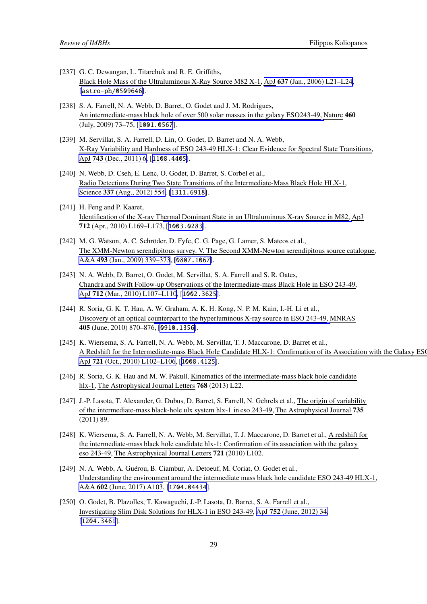- <span id="page-29-0"></span>[237] G. C. Dewangan, L. Titarchuk and R. E. Griffiths, Black Hole Mass of the Ultraluminous X-Ray Source M82 X-1, ApJ 637 [\(Jan., 2006\) L21–L24](https://doi.org/10.1086/499235), [[astro-ph/0509646](https://arxiv.org/abs/astro-ph/0509646)].
- [238] S. A. Farrell, N. A. Webb, D. Barret, O. Godet and J. M. Rodrigues, An intermediate-mass black hole of over 500 solar masses in the galaxy ESO243-49, Nature 460 (July, 2009) 73–75, [[1001.0567](https://arxiv.org/abs/1001.0567)].
- [239] M. Servillat, S. A. Farrell, D. Lin, O. Godet, D. Barret and N. A. Webb, X-Ray Variability and Hardness of ESO 243-49 HLX-1: Clear Evidence for Spectral State Transitions, ApJ 743 [\(Dec., 2011\) 6,](https://doi.org/10.1088/0004-637X/743/1/6) [[1108.4405](https://arxiv.org/abs/1108.4405)].
- [240] N. Webb, D. Cseh, E. Lenc, O. Godet, D. Barret, S. Corbel et al., Radio Detections During Two State Transitions of the Intermediate-Mass Black Hole HLX-1, Science 337 [\(Aug., 2012\) 554](https://doi.org/10.1126/science.1222779), [[1311.6918](https://arxiv.org/abs/1311.6918)].
- [241] H. Feng and P. Kaaret, Identification of the X-ray Thermal Dominant State in an Ultraluminous X-ray Source in M82, ApJ 712 (Apr., 2010) L169–L173, [[1003.0283](https://arxiv.org/abs/1003.0283)].
- [242] M. G. Watson, A. C. Schröder, D. Fyfe, C. G. Page, G. Lamer, S. Mateos et al., The XMM-Newton serendipitous survey. V. The Second XMM-Newton serendipitous source catalogue, A&A 493 [\(Jan., 2009\) 339–373](https://doi.org/10.1051/0004-6361:200810534), [[0807.1067](https://arxiv.org/abs/0807.1067)].
- [243] N. A. Webb, D. Barret, O. Godet, M. Servillat, S. A. Farrell and S. R. Oates, Chandra and Swift Follow-up Observations of the Intermediate-mass Black Hole in ESO 243-49, ApJ 712 [\(Mar., 2010\) L107–L110](https://doi.org/10.1088/2041-8205/712/1/L107), [[1002.3625](https://arxiv.org/abs/1002.3625)].
- [244] R. Soria, G. K. T. Hau, A. W. Graham, A. K. H. Kong, N. P. M. Kuin, I.-H. Li et al., Discovery of an optical counterpart to the hyperluminous X-ray source in ESO 243-49, MNRAS 405 (June, 2010) 870–876, [[0910.1356](https://arxiv.org/abs/0910.1356)].
- [245] K. Wiersema, S. A. Farrell, N. A. Webb, M. Servillat, T. J. Maccarone, D. Barret et al., A Redshift for the Intermediate-mass Black Hole Candidate HLX-1: Confirmation of its Association with the Galaxy ESO ApJ 721 [\(Oct., 2010\) L102–L106,](https://doi.org/10.1088/2041-8205/721/2/L102) [[1008.4125](https://arxiv.org/abs/1008.4125)].
- [246] R. Soria, G. K. Hau and M. W. Pakull, Kinematics of the intermediate-mass black hole candidate hlx-1, The Astrophysical Journal Letters **768** (2013) L22.
- [247] J.-P. Lasota, T. Alexander, G. Dubus, D. Barret, S. Farrell, N. Gehrels et al., The origin of variability of the intermediate-mass black-hole ulx system hlx-1 in eso 243-49, The Astrophysical Journal 735 (2011) 89.
- [248] K. Wiersema, S. A. Farrell, N. A. Webb, M. Servillat, T. J. Maccarone, D. Barret et al., A redshift for the intermediate-mass black hole candidate hlx-1: Confirmation of its association with the galaxy eso 243-49, The Astrophysical Journal Letters 721 (2010) L102.
- [249] N. A. Webb, A. Guérou, B. Ciambur, A. Detoeuf, M. Coriat, O. Godet et al., Understanding the environment around the intermediate mass black hole candidate ESO 243-49 HLX-1, A&A 602 [\(June, 2017\) A103](https://doi.org/10.1051/0004-6361/201630042), [[1704.04434](https://arxiv.org/abs/1704.04434)].
- [250] O. Godet, B. Plazolles, T. Kawaguchi, J.-P. Lasota, D. Barret, S. A. Farrell et al., Investigating Slim Disk Solutions for HLX-1 in ESO 243-49, ApJ 752 [\(June, 2012\) 34,](https://doi.org/10.1088/0004-637X/752/1/34) [[1204.3461](https://arxiv.org/abs/1204.3461)].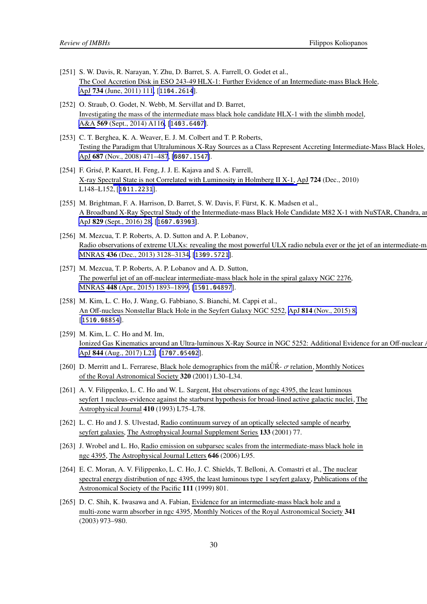- <span id="page-30-0"></span>[251] S. W. Davis, R. Narayan, Y. Zhu, D. Barret, S. A. Farrell, O. Godet et al., The Cool Accretion Disk in ESO 243-49 HLX-1: Further Evidence of an Intermediate-mass Black Hole, ApJ 734 [\(June, 2011\) 111,](https://doi.org/10.1088/0004-637X/734/2/111) [[1104.2614](https://arxiv.org/abs/1104.2614)].
- [252] O. Straub, O. Godet, N. Webb, M. Servillat and D. Barret, Investigating the mass of the intermediate mass black hole candidate HLX-1 with the slimbh model, A&A 569 [\(Sept., 2014\) A116,](https://doi.org/10.1051/0004-6361/201423874) [[1403.6407](https://arxiv.org/abs/1403.6407)].
- [253] C. T. Berghea, K. A. Weaver, E. J. M. Colbert and T. P. Roberts, Testing the Paradigm that Ultraluminous X-Ray Sources as a Class Represent Accreting Intermediate-Mass Black Holes, ApJ 687 [\(Nov., 2008\) 471–487](https://doi.org/10.1086/591722), [[0807.1547](https://arxiv.org/abs/0807.1547)].
- [254] F. Grisé, P. Kaaret, H. Feng, J. J. E. Kajava and S. A. Farrell, X-ray Spectral State is not Correlated with Luminosity in Holmberg II X-1, ApJ 724 (Dec., 2010) L148–L152, [[1011.2231](https://arxiv.org/abs/1011.2231)].
- [255] M. Brightman, F. A. Harrison, D. Barret, S. W. Davis, F. Fürst, K. K. Madsen et al., A Broadband X-Ray Spectral Study of the Intermediate-mass Black Hole Candidate M82 X-1 with NuSTAR, Chandra, an ApJ 829 [\(Sept., 2016\) 28,](https://doi.org/10.3847/0004-637X/829/1/28) [[1607.03903](https://arxiv.org/abs/1607.03903)].
- [256] M. Mezcua, T. P. Roberts, A. D. Sutton and A. P. Lobanov, Radio observations of extreme ULXs: revealing the most powerful ULX radio nebula ever or the jet of an intermediate-m MNRAS 436 [\(Dec., 2013\) 3128–3134,](https://doi.org/10.1093/mnras/stt1794) [[1309.5721](https://arxiv.org/abs/1309.5721)].
- [257] M. Mezcua, T. P. Roberts, A. P. Lobanov and A. D. Sutton, The powerful jet of an off-nuclear intermediate-mass black hole in the spiral galaxy NGC 2276, MNRAS 448 [\(Apr., 2015\) 1893–1899,](https://doi.org/10.1093/mnras/stv143) [[1501.04897](https://arxiv.org/abs/1501.04897)].
- [258] M. Kim, L. C. Ho, J. Wang, G. Fabbiano, S. Bianchi, M. Cappi et al., An Off-nucleus Nonstellar Black Hole in the Seyfert Galaxy NGC 5252, ApJ 814 [\(Nov., 2015\) 8,](https://doi.org/10.1088/0004-637X/814/1/8) [[1510.08854](https://arxiv.org/abs/1510.08854)].
- [259] M. Kim, L. C. Ho and M. Im, Ionized Gas Kinematics around an Ultra-luminous X-Ray Source in NGC 5252: Additional Evidence for an Off-nuclear AGN, ApJ 844 [\(Aug., 2017\) L21](https://doi.org/10.3847/2041-8213/aa7fe8), [[1707.05402](https://arxiv.org/abs/1707.05402)].
- [260] D. Merritt and L. Ferrarese, Black hole demographics from the mâ ǗR-  $\sigma$  relation, Monthly Notices of the Royal Astronomical Society 320 (2001) L30–L34.
- [261] A. V. Filippenko, L. C. Ho and W. L. Sargent, Hst observations of ngc 4395, the least luminous seyfert 1 nucleus-evidence against the starburst hypothesis for broad-lined active galactic nuclei, The Astrophysical Journal 410 (1993) L75–L78.
- [262] L. C. Ho and J. S. Ulvestad, Radio continuum survey of an optically selected sample of nearby seyfert galaxies, The Astrophysical Journal Supplement Series 133 (2001) 77.
- [263] J. Wrobel and L. Ho, Radio emission on subparsec scales from the intermediate-mass black hole in ngc 4395, The Astrophysical Journal Letters 646 (2006) L95.
- [264] E. C. Moran, A. V. Filippenko, L. C. Ho, J. C. Shields, T. Belloni, A. Comastri et al., The nuclear spectral energy distribution of ngc 4395, the least luminous type 1 seyfert galaxy, Publications of the Astronomical Society of the Pacific 111 (1999) 801.
- [265] D. C. Shih, K. Iwasawa and A. Fabian, Evidence for an intermediate-mass black hole and a multi-zone warm absorber in ngc 4395, Monthly Notices of the Royal Astronomical Society 341 (2003) 973–980.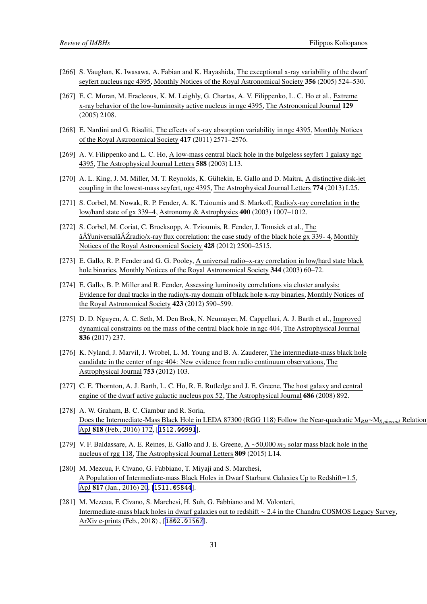- <span id="page-31-0"></span>[266] S. Vaughan, K. Iwasawa, A. Fabian and K. Hayashida, The exceptional x-ray variability of the dwarf seyfert nucleus ngc 4395, Monthly Notices of the Royal Astronomical Society 356 (2005) 524–530.
- [267] E. C. Moran, M. Eracleous, K. M. Leighly, G. Chartas, A. V. Filippenko, L. C. Ho et al., Extreme x-ray behavior of the low-luminosity active nucleus in ngc 4395, The Astronomical Journal 129 (2005) 2108.
- [268] E. Nardini and G. Risaliti, The effects of x-ray absorption variability in ngc 4395, Monthly Notices of the Royal Astronomical Society 417 (2011) 2571–2576.
- [269] A. V. Filippenko and L. C. Ho, A low-mass central black hole in the bulgeless seyfert 1 galaxy ngc 4395, The Astrophysical Journal Letters 588 (2003) L13.
- [270] A. L. King, J. M. Miller, M. T. Reynolds, K. Gültekin, E. Gallo and D. Maitra, A distinctive disk-jet coupling in the lowest-mass seyfert, ngc 4395, The Astrophysical Journal Letters 774 (2013) L25.
- [271] S. Corbel, M. Nowak, R. P. Fender, A. K. Tzioumis and S. Markoff, Radio/x-ray correlation in the low/hard state of gx 339–4, Astronomy & Astrophysics 400 (2003) 1007–1012.
- [272] S. Corbel, M. Coriat, C. Brocksopp, A. Tzioumis, R. Fender, J. Tomsick et al., The âĂŸuniversalâĂŹradio/x-ray flux correlation: the case study of the black hole gx 339- 4, Monthly Notices of the Royal Astronomical Society 428 (2012) 2500–2515.
- [273] E. Gallo, R. P. Fender and G. G. Pooley, A universal radio–x-ray correlation in low/hard state black hole binaries, Monthly Notices of the Royal Astronomical Society 344 (2003) 60-72.
- [274] E. Gallo, B. P. Miller and R. Fender, Assessing luminosity correlations via cluster analysis: Evidence for dual tracks in the radio/x-ray domain of black hole x-ray binaries, Monthly Notices of the Royal Astronomical Society 423 (2012) 590–599.
- [275] D. D. Nguyen, A. C. Seth, M. Den Brok, N. Neumayer, M. Cappellari, A. J. Barth et al., Improved dynamical constraints on the mass of the central black hole in ngc 404, The Astrophysical Journal 836 (2017) 237.
- [276] K. Nyland, J. Marvil, J. Wrobel, L. M. Young and B. A. Zauderer, The intermediate-mass black hole candidate in the center of ngc 404: New evidence from radio continuum observations, The Astrophysical Journal 753 (2012) 103.
- [277] C. E. Thornton, A. J. Barth, L. C. Ho, R. E. Rutledge and J. E. Greene, The host galaxy and central engine of the dwarf active galactic nucleus pox 52, The Astrophysical Journal 686 (2008) 892.
- [278] A. W. Graham, B. C. Ciambur and R. Soria, Does the Intermediate-Mass Black Hole in LEDA 87300 (RGG 118) Follow the Near-quadratic M*BH*∼M*S pheroid* Relation?, ApJ 818 [\(Feb., 2016\) 172,](https://doi.org/10.3847/0004-637X/818/2/172) [[1512.00991](https://arxiv.org/abs/1512.00991)].
- [279] V. F. Baldassare, A. E. Reines, E. Gallo and J. E. Greene, A ∼50,000 *m*<sup>⊙</sup> solar mass black hole in the nucleus of rgg 118, The Astrophysical Journal Letters 809 (2015) L14.
- [280] M. Mezcua, F. Civano, G. Fabbiano, T. Miyaji and S. Marchesi, A Population of Intermediate-mass Black Holes in Dwarf Starburst Galaxies Up to Redshift=1.5, ApJ 817 [\(Jan., 2016\) 20](https://doi.org/10.3847/0004-637X/817/1/20), [[1511.05844](https://arxiv.org/abs/1511.05844)].
- [281] M. Mezcua, F. Civano, S. Marchesi, H. Suh, G. Fabbiano and M. Volonteri, Intermediate-mass black holes in dwarf galaxies out to redshift ∼ 2.4 in the Chandra COSMOS Legacy Survey, ArXiv e-prints (Feb., 2018) , [[1802.01567](https://arxiv.org/abs/1802.01567)].